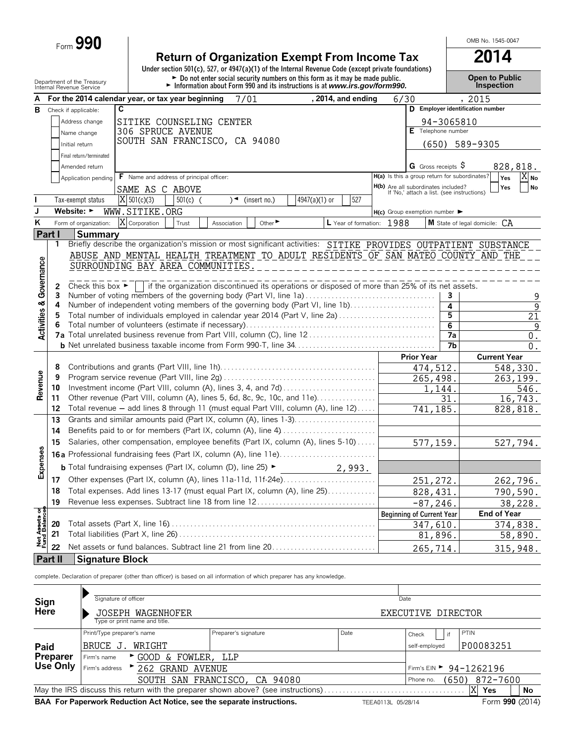| Form $990$ |  |
|------------|--|
|------------|--|

# **Return of Organization Exempt From Income Tax**<br>
Under section 501(c), 527, or 4947(a)(1) of the Internal Revenue Code (except private foundations)

Department of the Treasury **Depen to Public**<br>Internal Revenue Service **Connect of the Connect of the Connect of the Connect of the Connect of the Treasury Connection**<br>Internal Revenue Service **Connection Connection** 

OMB No. 1545-0047

|                                        | Internal Revenue Service       |                         |                                                   |                  | Information about Form 990 and its instructions is at www.irs.gov/form990.                                                                   |               |                           |                                                                                   |                   |                                | <b>Inspection</b>                |                               |
|----------------------------------------|--------------------------------|-------------------------|---------------------------------------------------|------------------|----------------------------------------------------------------------------------------------------------------------------------------------|---------------|---------------------------|-----------------------------------------------------------------------------------|-------------------|--------------------------------|----------------------------------|-------------------------------|
|                                        |                                |                         | For the 2014 calendar year, or tax year beginning |                  | 7/01                                                                                                                                         |               | , 2014, and ending        | 6/30                                                                              |                   |                                | , 2015                           |                               |
| в                                      | Check if applicable:           |                         | C                                                 |                  |                                                                                                                                              |               |                           |                                                                                   |                   |                                | D Employer identification number |                               |
|                                        |                                | Address change          | SITIKE COUNSELING CENTER                          |                  |                                                                                                                                              |               |                           |                                                                                   |                   | 94-3065810                     |                                  |                               |
|                                        |                                | Name change             | 306 SPRUCE AVENUE                                 |                  |                                                                                                                                              |               |                           |                                                                                   |                   | E Telephone number             |                                  |                               |
|                                        | Initial return                 |                         |                                                   |                  | SOUTH SAN FRANCISCO, CA 94080                                                                                                                |               |                           |                                                                                   | (650)             |                                | 589-9305                         |                               |
|                                        |                                | Final return/terminated |                                                   |                  |                                                                                                                                              |               |                           |                                                                                   |                   |                                |                                  |                               |
|                                        |                                | Amended return          |                                                   |                  |                                                                                                                                              |               |                           |                                                                                   |                   | G Gross receipts $\frac{5}{7}$ | 828,818.                         |                               |
|                                        |                                | Application pending     | <b>F</b> Name and address of principal officer:   |                  |                                                                                                                                              |               |                           | H(a) Is this a group return for subordinates?                                     |                   |                                | Yes                              | $\overline{X} _{\mathbf{No}}$ |
|                                        |                                |                         | SAME AS C ABOVE                                   |                  |                                                                                                                                              |               |                           | H(b) Are all subordinates included?<br>If 'No,' attach a list. (see instructions) |                   |                                | Yes                              | No                            |
|                                        |                                | Tax-exempt status       | $\overline{X}$ 501(c)(3)                          | $501(c)$ (       | (insert no.)<br>$\rightarrow$                                                                                                                | 4947(a)(1) or | 527                       |                                                                                   |                   |                                |                                  |                               |
|                                        | Website: $\blacktriangleright$ |                         | WWW.SITIKE.ORG                                    |                  |                                                                                                                                              |               |                           | $H(c)$ Group exemption number $\blacktriangleright$                               |                   |                                |                                  |                               |
| ĸ                                      |                                | Form of organization:   | X Corporation                                     | Trust            | Other $\blacktriangleright$                                                                                                                  |               |                           |                                                                                   |                   |                                |                                  |                               |
|                                        |                                |                         |                                                   |                  | Association                                                                                                                                  |               | L Year of formation: 1988 |                                                                                   |                   |                                | M State of legal domicile: CA    |                               |
|                                        | Part I<br>1                    | <b>Summary</b>          |                                                   |                  | Briefly describe the organization's mission or most significant activities: SITIKE PROVIDES OUTPATIENT SUBSTANCE                             |               |                           |                                                                                   |                   |                                |                                  |                               |
|                                        |                                |                         |                                                   |                  | ABUSE AND MENTAL HEALTH TREATMENT TO ADULT RESIDENTS OF SAN MATEO COUNTY AND THE                                                             |               |                           |                                                                                   |                   |                                |                                  |                               |
| <b>Activities &amp; Governance</b>     |                                |                         | SURROUNDING BAY AREA COMMUNITIES.                 |                  |                                                                                                                                              |               |                           |                                                                                   |                   |                                |                                  |                               |
|                                        |                                |                         |                                                   |                  |                                                                                                                                              |               |                           |                                                                                   |                   |                                |                                  |                               |
|                                        | 2                              |                         |                                                   |                  | Check this box $\triangleright \blacksquare$ if the organization discontinued its operations or disposed of more than 25% of its net assets. |               |                           |                                                                                   |                   |                                |                                  |                               |
|                                        | 3                              |                         |                                                   |                  | Number of voting members of the governing body (Part VI, line 1a)                                                                            |               |                           |                                                                                   |                   | 3                              |                                  | 9                             |
|                                        | 4                              |                         |                                                   |                  | Number of independent voting members of the governing body (Part VI, line 1b)                                                                |               |                           |                                                                                   |                   | 4                              |                                  | $\overline{9}$                |
|                                        | 5                              |                         |                                                   |                  | Total number of individuals employed in calendar year 2014 (Part V, line 2a)                                                                 |               |                           |                                                                                   |                   | 5                              |                                  | $\overline{21}$               |
|                                        |                                |                         |                                                   |                  |                                                                                                                                              |               |                           |                                                                                   |                   | 6                              |                                  | 9                             |
|                                        |                                |                         |                                                   |                  |                                                                                                                                              |               |                           |                                                                                   |                   | 7a                             |                                  | $0$ .                         |
|                                        |                                |                         |                                                   |                  |                                                                                                                                              |               |                           |                                                                                   |                   | 7b                             |                                  | $0$ .                         |
|                                        |                                |                         |                                                   |                  |                                                                                                                                              |               |                           |                                                                                   | <b>Prior Year</b> |                                | <b>Current Year</b>              |                               |
|                                        | 8                              |                         |                                                   |                  |                                                                                                                                              |               |                           |                                                                                   | 474,512.          |                                | 548,330.                         |                               |
| Revenue                                | 9                              |                         |                                                   |                  |                                                                                                                                              |               |                           |                                                                                   | 265,498.          |                                | 263,199.                         |                               |
|                                        | 10                             |                         |                                                   |                  | Investment income (Part VIII, column (A), lines 3, 4, and 7d)                                                                                |               |                           |                                                                                   |                   | 1,144.                         |                                  | 546.                          |
|                                        | 11                             |                         |                                                   |                  | Other revenue (Part VIII, column (A), lines 5, 6d, 8c, 9c, 10c, and 11e)                                                                     |               |                           |                                                                                   |                   | 31                             |                                  | 16,743.                       |
|                                        | 12                             |                         |                                                   |                  | Total revenue - add lines 8 through 11 (must equal Part VIII, column (A), line 12)                                                           |               |                           |                                                                                   | 741,185.          |                                | 828,818.                         |                               |
|                                        | 13                             |                         |                                                   |                  | Grants and similar amounts paid (Part IX, column (A), lines 1-3)                                                                             |               |                           |                                                                                   |                   |                                |                                  |                               |
|                                        | 14                             |                         |                                                   |                  | Benefits paid to or for members (Part IX, column (A), line 4)                                                                                |               |                           |                                                                                   |                   |                                |                                  |                               |
|                                        | 15                             |                         |                                                   |                  | Salaries, other compensation, employee benefits (Part IX, column (A), lines 5-10)                                                            |               |                           |                                                                                   | 577,159.          |                                | 527,794.                         |                               |
| Expenses                               |                                |                         |                                                   |                  |                                                                                                                                              |               |                           |                                                                                   |                   |                                |                                  |                               |
|                                        |                                |                         |                                                   |                  | <b>b</b> Total fundraising expenses (Part IX, column (D), line 25) ►                                                                         |               | 2,993.                    |                                                                                   |                   |                                |                                  |                               |
|                                        | 17                             |                         |                                                   |                  |                                                                                                                                              |               |                           |                                                                                   | 251, 272.         |                                | 262,796.                         |                               |
|                                        | 18                             |                         |                                                   |                  | Total expenses. Add lines 13-17 (must equal Part IX, column (A), line 25)                                                                    |               |                           |                                                                                   | 828, 431.         |                                | 790,590.                         |                               |
|                                        | 19                             |                         |                                                   |                  | Revenue less expenses. Subtract line 18 from line 12                                                                                         |               |                           |                                                                                   | $-87, 246$        |                                |                                  | 38,228.                       |
|                                        |                                |                         |                                                   |                  |                                                                                                                                              |               |                           | <b>Beginning of Current Year</b>                                                  |                   |                                | <b>End of Year</b>               |                               |
| <b>Net Assets of<br/>Fund Balances</b> | 20                             |                         |                                                   |                  |                                                                                                                                              |               |                           |                                                                                   | 347,610.          |                                | 374,838.                         |                               |
|                                        | 21                             |                         |                                                   |                  |                                                                                                                                              |               |                           |                                                                                   | 81,896.           |                                |                                  | 58,890.                       |
|                                        | 22                             |                         |                                                   |                  | Net assets or fund balances. Subtract line 21 from line 20                                                                                   |               |                           |                                                                                   |                   |                                |                                  |                               |
|                                        | Part II                        |                         |                                                   |                  |                                                                                                                                              |               |                           |                                                                                   | 265,714.          |                                | 315,948.                         |                               |
|                                        |                                | <b>Signature Block</b>  |                                                   |                  |                                                                                                                                              |               |                           |                                                                                   |                   |                                |                                  |                               |
|                                        |                                |                         |                                                   |                  | complete. Declaration of preparer (other than officer) is based on all information of which preparer has any knowledge.                      |               |                           |                                                                                   |                   |                                |                                  |                               |
|                                        |                                |                         |                                                   |                  |                                                                                                                                              |               |                           |                                                                                   |                   |                                |                                  |                               |
| Sign                                   |                                |                         | Signature of officer                              |                  |                                                                                                                                              |               |                           | Date                                                                              |                   |                                |                                  |                               |
| <b>Here</b>                            |                                |                         | JOSEPH WAGENHOFER                                 |                  |                                                                                                                                              |               |                           | EXECUTIVE DIRECTOR                                                                |                   |                                |                                  |                               |
|                                        |                                |                         | Type or print name and title.                     |                  |                                                                                                                                              |               |                           |                                                                                   |                   |                                |                                  |                               |
|                                        |                                |                         | Print/Type preparer's name                        |                  | Preparer's signature                                                                                                                         |               | Date                      | Check                                                                             |                   | if                             | PTIN                             |                               |
| Paid                                   |                                |                         | BRUCE J. WRIGHT                                   |                  |                                                                                                                                              |               |                           |                                                                                   | self-employed     |                                | P00083251                        |                               |
|                                        | Preparer                       | Firm's name             |                                                   | GOOD & FOWLER,   | <b>LLP</b>                                                                                                                                   |               |                           |                                                                                   |                   |                                |                                  |                               |
|                                        | Use Only                       | Firm's address          |                                                   | 262 GRAND AVENUE |                                                                                                                                              |               |                           |                                                                                   |                   |                                | Firm's EIN > 94-1262196          |                               |
|                                        |                                |                         |                                                   |                  | SOUTH SAN FRANCISCO, CA 94080                                                                                                                |               |                           |                                                                                   | Phone no.         |                                | 872-7600                         |                               |
|                                        |                                |                         |                                                   |                  | May the IRS discuss this return with the preparer shown above? (see instructions)                                                            |               |                           |                                                                                   |                   | (650)                          | ΙX<br>Yes                        | No                            |
|                                        |                                |                         |                                                   |                  | BAA For Paperwork Reduction Act Notice, see the separate instructions.                                                                       |               |                           | TEEA0113L 05/28/14                                                                |                   |                                | Form 990 (2014)                  |                               |
|                                        |                                |                         |                                                   |                  |                                                                                                                                              |               |                           |                                                                                   |                   |                                |                                  |                               |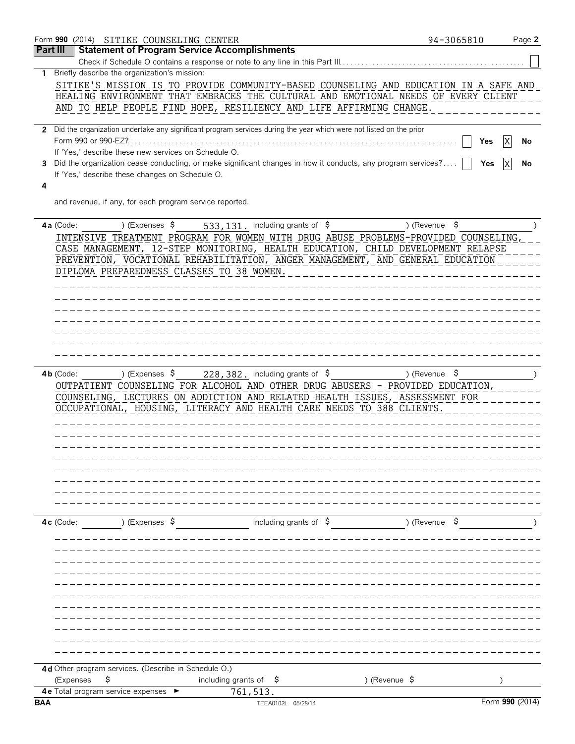|                 |             | Form 990 (2014) SITIKE COUNSELING CENTER                |                                                                                                                      |                               | 94-3065810    | Page 2  |
|-----------------|-------------|---------------------------------------------------------|----------------------------------------------------------------------------------------------------------------------|-------------------------------|---------------|---------|
| <b>Part III</b> |             |                                                         | <b>Statement of Program Service Accomplishments</b>                                                                  |                               |               |         |
|                 |             |                                                         | Check if Schedule O contains a response or note to any line in this Part III                                         |                               |               |         |
|                 |             | 1 Briefly describe the organization's mission:          |                                                                                                                      |                               |               |         |
|                 |             |                                                         | SITIKE'S MISSION IS TO PROVIDE COMMUNITY-BASED COUNSELING AND EDUCATION IN A SAFE AND                                |                               |               |         |
|                 |             |                                                         | HEALING ENVIRONMENT THAT EMBRACES THE CULTURAL AND EMOTIONAL NEEDS OF EVERY CLIENT                                   |                               |               |         |
|                 |             |                                                         | AND TO HELP PEOPLE FIND HOPE, RESILIENCY AND LIFE AFFIRMING CHANGE.                                                  |                               |               |         |
|                 |             |                                                         |                                                                                                                      |                               |               |         |
|                 |             | Form 990 or 990-EZ?                                     | 2 Did the organization undertake any significant program services during the year which were not listed on the prior |                               |               |         |
|                 |             | If 'Yes,' describe these new services on Schedule O.    |                                                                                                                      |                               | Yes           | X<br>No |
| 3               |             |                                                         | Did the organization cease conducting, or make significant changes in how it conducts, any program services?         |                               | Yes           | No      |
|                 |             | If 'Yes,' describe these changes on Schedule O.         |                                                                                                                      |                               |               |         |
| 4               |             |                                                         |                                                                                                                      |                               |               |         |
|                 |             | and revenue, if any, for each program service reported. |                                                                                                                      |                               |               |         |
|                 |             |                                                         |                                                                                                                      |                               |               |         |
|                 | 4a (Code:   |                                                         | ) (Expenses $\frac{1}{5}$ 533, 131. including grants of $\frac{1}{5}$                                                |                               | ) (Revenue \$ |         |
|                 |             |                                                         | INTENSIVE TREATMENT PROGRAM FOR WOMEN WITH DRUG ABUSE PROBLEMS-PROVIDED COUNSELING,                                  |                               |               |         |
|                 |             |                                                         | CASE MANAGEMENT, 12-STEP MONITORING, HEALTH EDUCATION, CHILD DEVELOPMENT RELAPSE                                     |                               |               |         |
|                 |             |                                                         | PREVENTION, VOCATIONAL REHABILITATION, ANGER MANAGEMENT, AND GENERAL EDUCATION                                       |                               |               |         |
|                 |             | DIPLOMA PREPAREDNESS CLASSES TO 38 WOMEN.               |                                                                                                                      | _____________________________ |               |         |
|                 |             |                                                         |                                                                                                                      |                               |               |         |
|                 |             |                                                         |                                                                                                                      | ------------                  |               |         |
|                 |             |                                                         |                                                                                                                      | ---------------               |               |         |
|                 |             |                                                         |                                                                                                                      | ____________________________  |               |         |
|                 |             |                                                         |                                                                                                                      | ------------                  |               |         |
|                 |             |                                                         |                                                                                                                      |                               |               |         |
|                 |             |                                                         |                                                                                                                      |                               |               |         |
|                 | $4b$ (Code: |                                                         | ) (Expenses $\frac{1}{5}$ 228, 382. including grants of $\frac{1}{5}$                                                |                               | ) (Revenue \$ |         |
|                 |             |                                                         | OUTPATIENT COUNSELING FOR ALCOHOL AND OTHER DRUG ABUSERS - PROVIDED EDUCATION,                                       |                               |               |         |
|                 |             |                                                         | COUNSELING, LECTURES ON ADDICTION AND RELATED HEALTH ISSUES, ASSESSMENT FOR                                          |                               |               |         |
|                 |             |                                                         | OCCUPATIONAL, HOUSING, LITERACY AND HEALTH CARE NEEDS TO 388 CLIENTS.                                                |                               |               |         |
|                 |             |                                                         |                                                                                                                      |                               |               |         |
|                 |             |                                                         |                                                                                                                      |                               |               |         |
|                 |             |                                                         |                                                                                                                      |                               |               |         |
|                 |             |                                                         |                                                                                                                      |                               |               |         |
|                 |             |                                                         |                                                                                                                      |                               |               |         |
|                 |             |                                                         |                                                                                                                      |                               |               |         |
|                 |             |                                                         |                                                                                                                      |                               |               |         |
|                 |             |                                                         |                                                                                                                      |                               |               |         |
|                 | $4c$ (Code: | ) (Expenses $\frac{1}{2}$                               | including grants of $\sin$                                                                                           |                               | ) (Revenue \$ |         |
|                 |             |                                                         |                                                                                                                      |                               |               |         |
|                 |             |                                                         |                                                                                                                      |                               |               |         |
|                 |             |                                                         |                                                                                                                      |                               |               |         |
|                 |             |                                                         |                                                                                                                      |                               |               |         |
|                 |             |                                                         |                                                                                                                      |                               |               |         |
|                 |             |                                                         |                                                                                                                      |                               |               |         |
|                 |             |                                                         |                                                                                                                      |                               |               |         |
|                 |             |                                                         |                                                                                                                      |                               |               |         |
|                 |             |                                                         |                                                                                                                      |                               |               |         |
|                 |             |                                                         |                                                                                                                      |                               |               |         |
|                 |             |                                                         |                                                                                                                      |                               |               |         |
|                 |             | 4d Other program services. (Describe in Schedule O.)    |                                                                                                                      |                               |               |         |
|                 | (Expenses   | \$<br>4 e Total program service expenses ►              | including grants of<br>-\$                                                                                           | ) (Revenue $\frac{1}{2}$      |               |         |
|                 |             |                                                         | 761,513.                                                                                                             |                               |               |         |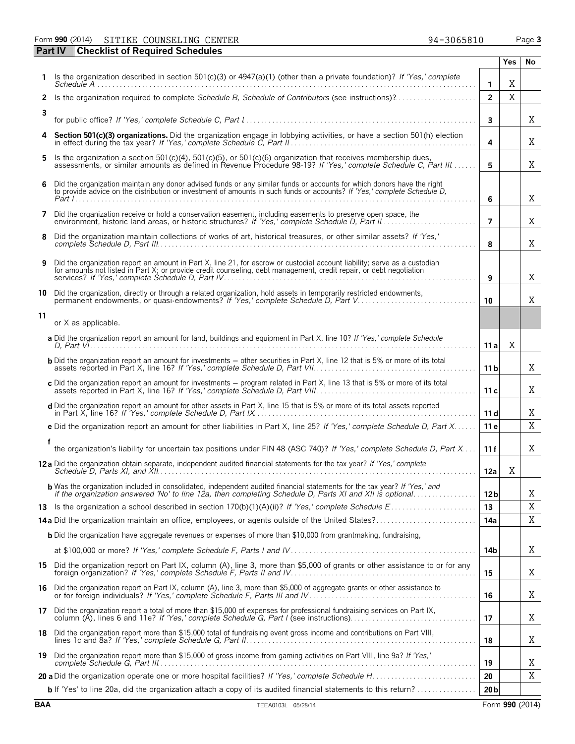Form **990** (2014) Page **3** SITIKE COUNSELING CENTER 94-3065810

**Part IV Checklist of Required Schedules**

| 94-3065810 |  |
|------------|--|
|            |  |

|              |                                                                                                                                                                                                                                                    |                 | Yes | No |
|--------------|----------------------------------------------------------------------------------------------------------------------------------------------------------------------------------------------------------------------------------------------------|-----------------|-----|----|
|              | Is the organization described in section 501(c)(3) or 4947(a)(1) (other than a private foundation)? If 'Yes,' complete                                                                                                                             | 1               | X   |    |
| $\mathbf{2}$ | Is the organization required to complete Schedule B, Schedule of Contributors (see instructions)?                                                                                                                                                  | $\overline{2}$  | X   |    |
| 3            |                                                                                                                                                                                                                                                    | $\mathbf{3}$    |     | X  |
| 4            | Section 501(c)(3) organizations. Did the organization engage in lobbying activities, or have a section 501(h) election                                                                                                                             | 4               |     | X  |
| 5.           | Is the organization a section 501(c)(4), 501(c)(5), or 501(c)(6) organization that receives membership dues,                                                                                                                                       |                 |     | X  |
|              | assessments, or similar amounts as defined in Revenue Procedure 98-19? If 'Yes,' complete Schedule C, Part III                                                                                                                                     | 5               |     |    |
| 6            | Did the organization maintain any donor advised funds or any similar funds or accounts for which donors have the right<br>to provide advice on the distribution or investment of amounts in such funds or accounts? If 'Yes,' complete Schedule D, | 6               |     | X  |
| 7            | Did the organization receive or hold a conservation easement, including easements to preserve open space, the                                                                                                                                      | 7               |     | X  |
| 8            | Did the organization maintain collections of works of art, historical treasures, or other similar assets? If 'Yes,'                                                                                                                                | 8               |     | X  |
| 9            | Did the organization report an amount in Part X, line 21, for escrow or custodial account liability; serve as a custodian<br>for amounts not listed in Part X; or provide credit counseling, debt management, credit repair, or debt negotiation   | 9               |     | X  |
| 10           | Did the organization, directly or through a related organization, hold assets in temporarily restricted endowments,                                                                                                                                | 10              |     | X  |
| 11           | or X as applicable.                                                                                                                                                                                                                                |                 |     |    |
|              | a Did the organization report an amount for land, buildings and equipment in Part X, line 10? If 'Yes,' complete Schedule                                                                                                                          | 11 a            | Χ   |    |
|              | <b>b</b> Did the organization report an amount for investments - other securities in Part X, line 12 that is 5% or more of its total                                                                                                               | 11 b            |     | X  |
|              | c Did the organization report an amount for investments - program related in Part X, line 13 that is 5% or more of its total                                                                                                                       | 11 c            |     | X  |
|              | d Did the organization report an amount for other assets in Part X, line 15 that is 5% or more of its total assets reported                                                                                                                        | 11d             |     | X  |
|              | e Did the organization report an amount for other liabilities in Part X, line 25? If 'Yes,' complete Schedule D, Part X                                                                                                                            | 11e             |     | X  |
|              | the organization's liability for uncertain tax positions under FIN 48 (ASC 740)? If 'Yes,' complete Schedule D, Part X                                                                                                                             | 11f             |     | X  |
|              | 12 a Did the organization obtain separate, independent audited financial statements for the tax year? If 'Yes,' complete                                                                                                                           | 12a             | Χ   |    |
|              | <b>b</b> Was the organization included in consolidated, independent audited financial statements for the tax year? If 'Yes,' and                                                                                                                   | 12 <sub>b</sub> |     | Χ  |
|              |                                                                                                                                                                                                                                                    | 13              |     | X  |
|              |                                                                                                                                                                                                                                                    | 14a             |     | Χ  |
|              | <b>b</b> Did the organization have aggregate revenues or expenses of more than \$10,000 from grantmaking, fundraising,                                                                                                                             |                 |     |    |
|              |                                                                                                                                                                                                                                                    | 14b             |     | Χ  |
|              | 15 Did the organization report on Part IX, column (A), line 3, more than \$5,000 of grants or other assistance to or for any                                                                                                                       | 15              |     | Χ  |
|              | 16 Did the organization report on Part IX, column (A), line 3, more than \$5,000 of aggregate grants or other assistance to<br>or for foreign individuals? If 'Yes,' complete Schedule F, Parts III and IV                                         | 16              |     | Χ  |
|              | 17 Did the organization report a total of more than \$15,000 of expenses for professional fundraising services on Part IX,                                                                                                                         | 17              |     | Χ  |
| 18           | Did the organization report more than \$15,000 total of fundraising event gross income and contributions on Part VIII,                                                                                                                             | 18              |     | Χ  |
| 19           | Did the organization report more than \$15,000 of gross income from gaming activities on Part VIII, line 9a? If 'Yes,'                                                                                                                             | 19              |     | Χ  |
|              |                                                                                                                                                                                                                                                    | 20              |     | X  |
|              | <b>b</b> If 'Yes' to line 20a, did the organization attach a copy of its audited financial statements to this return?                                                                                                                              | 20 <sub>b</sub> |     |    |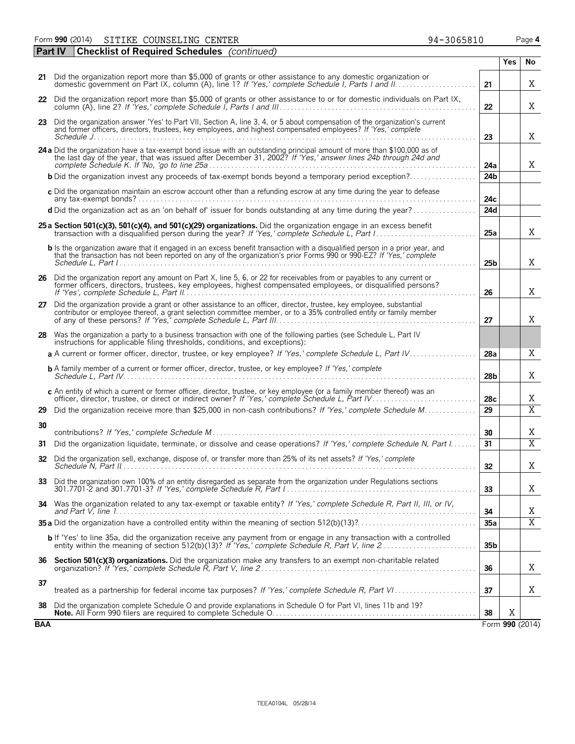|     | <b>Part IV</b> Checklist of Required Schedules (continued)                                                                                                                                                                                                   |                 |            |                 |
|-----|--------------------------------------------------------------------------------------------------------------------------------------------------------------------------------------------------------------------------------------------------------------|-----------------|------------|-----------------|
|     |                                                                                                                                                                                                                                                              |                 | <b>Yes</b> | No              |
|     | 21 Did the organization report more than \$5,000 of grants or other assistance to any domestic organization or                                                                                                                                               | 21              |            | Χ               |
|     | 22 Did the organization report more than \$5,000 of grants or other assistance to or for domestic individuals on Part IX,                                                                                                                                    | 22              |            | Χ               |
|     | 23 Did the organization answer 'Yes' to Part VII, Section A, line 3, 4, or 5 about compensation of the organization's current<br>and former officers, directors, trustees, key employees, and highest compensated employees? If 'Yes,' complete              |                 |            | X               |
|     | 24 a Did the organization have a tax-exempt bond issue with an outstanding principal amount of more than \$100,000 as of                                                                                                                                     | 23              |            |                 |
|     | the last day of the year, that was issued after December 31, 2002? If 'Yes,' answer lines 24b through 24d and                                                                                                                                                | 24a             |            | X               |
|     | <b>b</b> Did the organization invest any proceeds of tax-exempt bonds beyond a temporary period exception?                                                                                                                                                   | 24 <sub>b</sub> |            |                 |
|     | c Did the organization maintain an escrow account other than a refunding escrow at any time during the year to defease                                                                                                                                       | 24c             |            |                 |
|     | d Did the organization act as an 'on behalf of' issuer for bonds outstanding at any time during the year?                                                                                                                                                    | 24d             |            |                 |
|     | 25 a Section 501(c)(3), 501(c)(4), and 501(c)(29) organizations. Did the organization engage in an excess benefit                                                                                                                                            | 25a             |            | X               |
|     | <b>b</b> Is the organization aware that it engaged in an excess benefit transaction with a disqualified person in a prior year, and<br>that the transaction has not been reported on any of the organization's prior Forms 990 or 990-EZ? If 'Yes,' complete | 25b             |            | X               |
|     | 26 Did the organization report any amount on Part X, line 5, 6, or 22 for receivables from or payables to any current or<br>former officers, directors, trustees, key employees, highest compensated employees, or disqualified persons?                     | 26              |            | X               |
|     | 27 Did the organization provide a grant or other assistance to an officer, director, trustee, key employee, substantial<br>contributor or employee thereof, a grant selection committee member, or to a 35% controlled entity or family member               | 27              |            | Χ               |
|     | 28 Was the organization a party to a business transaction with one of the following parties (see Schedule L, Part IV<br>instructions for applicable filing thresholds, conditions, and exceptions):                                                          |                 |            |                 |
|     | a A current or former officer, director, trustee, or key employee? If 'Yes,' complete Schedule L, Part IV                                                                                                                                                    | 28a             |            | Χ               |
|     | <b>b</b> A family member of a current or former officer, director, trustee, or key employee? If 'Yes,' complete                                                                                                                                              | 28 <sub>b</sub> |            | Χ               |
|     | c An entity of which a current or former officer, director, trustee, or key employee (or a family member thereof) was an<br>officer, director, trustee, or direct or indirect owner? If 'Yes,' complete Schedule L, Part IV.                                 | 28 <sub>c</sub> |            | Χ               |
| 29  | Did the organization receive more than \$25,000 in non-cash contributions? If 'Yes,' complete Schedule M                                                                                                                                                     | 29              |            | $\overline{X}$  |
| 30  |                                                                                                                                                                                                                                                              | 30              |            | Χ               |
| 31  | Did the organization liquidate, terminate, or dissolve and cease operations? If 'Yes,' complete Schedule N, Part I                                                                                                                                           | 31              |            | $\overline{X}$  |
| 32  | Did the organization sell, exchange, dispose of, or transfer more than 25% of its net assets? If 'Yes,' complete                                                                                                                                             | 32              |            | Χ               |
| 33  | Did the organization own 100% of an entity disregarded as separate from the organization under Regulations sections                                                                                                                                          | 33              |            | Χ               |
| 34  | Was the organization related to any tax-exempt or taxable entity? If 'Yes,' complete Schedule R, Part II, III, or IV,                                                                                                                                        | 34              |            | Χ               |
|     |                                                                                                                                                                                                                                                              | 35a             |            | $\overline{X}$  |
|     | <b>b</b> If 'Yes' to line 35a, did the organization receive any payment from or engage in any transaction with a controlled                                                                                                                                  | 35 <sub>b</sub> |            |                 |
| 36  | Section 501(c)(3) organizations. Did the organization make any transfers to an exempt non-charitable related                                                                                                                                                 | 36              |            | Χ               |
| 37  | treated as a partnership for federal income tax purposes? If 'Yes,' complete Schedule R, Part VI                                                                                                                                                             | 37              |            | Χ               |
| 38  | Did the organization complete Schedule O and provide explanations in Schedule O for Part VI, lines 11b and 19?                                                                                                                                               | 38              | X          |                 |
| BAA |                                                                                                                                                                                                                                                              |                 |            | Form 990 (2014) |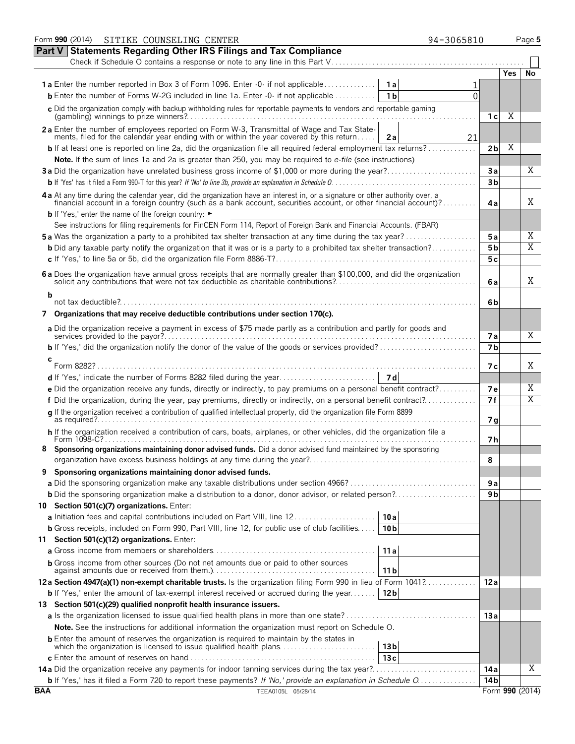|            | Form 990 (2014) SITIKE COUNSELING CENTER<br>94-3065810                                                                                                                                                                         |                |            | Page 5          |
|------------|--------------------------------------------------------------------------------------------------------------------------------------------------------------------------------------------------------------------------------|----------------|------------|-----------------|
| Part V     | <b>Statements Regarding Other IRS Filings and Tax Compliance</b>                                                                                                                                                               |                |            |                 |
|            | Check if Schedule O contains a response or note to any line in this Part V                                                                                                                                                     |                |            |                 |
|            |                                                                                                                                                                                                                                |                | <b>Yes</b> | No              |
|            |                                                                                                                                                                                                                                |                |            |                 |
|            | <b>b</b> Enter the number of Forms W-2G included in line 1a. Enter -0- if not applicable<br>1 <sub>b</sub><br>$\Omega$                                                                                                         |                |            |                 |
|            | c Did the organization comply with backup withholding rules for reportable payments to vendors and reportable gaming                                                                                                           |                |            |                 |
|            |                                                                                                                                                                                                                                | 1 с            | Χ          |                 |
|            | 2a Enter the number of employees reported on Form W-3, Transmittal of Wage and Tax State-                                                                                                                                      |                |            |                 |
|            | ments, filed for the calendar year ending with or within the year covered by this return<br>2a<br>21                                                                                                                           |                |            |                 |
|            | <b>b</b> If at least one is reported on line 2a, did the organization file all required federal employment tax returns?                                                                                                        | 2 <sub>b</sub> | Χ          |                 |
|            | Note. If the sum of lines 1a and 2a is greater than 250, you may be required to e-file (see instructions)                                                                                                                      |                |            |                 |
|            | 3a Did the organization have unrelated business gross income of \$1,000 or more during the year?                                                                                                                               | 3a             |            | Χ               |
|            |                                                                                                                                                                                                                                | 3 <sub>b</sub> |            |                 |
|            | 4 a At any time during the calendar year, did the organization have an interest in, or a signature or other authority over, a financial account in a foreign country (such as a bank account, securities account, or other fin |                |            |                 |
|            |                                                                                                                                                                                                                                | 4a             |            | Χ               |
|            | <b>b</b> If 'Yes,' enter the name of the foreign country: ►                                                                                                                                                                    |                |            |                 |
|            | See instructions for filing requirements for FinCEN Form 114, Report of Foreign Bank and Financial Accounts. (FBAR)                                                                                                            |                |            |                 |
|            | <b>5a</b> Was the organization a party to a prohibited tax shelter transaction at any time during the tax year?                                                                                                                | 5a             |            | Χ               |
|            | <b>b</b> Did any taxable party notify the organization that it was or is a party to a prohibited tax shelter transaction?                                                                                                      | 5 <sub>b</sub> |            | X               |
|            |                                                                                                                                                                                                                                | 5c             |            |                 |
|            |                                                                                                                                                                                                                                |                |            |                 |
|            | 6a Does the organization have annual gross receipts that are normally greater than \$100,000, and did the organization<br>solicit any contributions that were not tax deductible as charitable contributions?                  | 6 a            |            | Χ               |
| b          |                                                                                                                                                                                                                                |                |            |                 |
|            |                                                                                                                                                                                                                                | 6b             |            |                 |
| 7          | Organizations that may receive deductible contributions under section 170(c).                                                                                                                                                  |                |            |                 |
|            | a Did the organization receive a payment in excess of \$75 made partly as a contribution and partly for goods and                                                                                                              |                |            |                 |
|            |                                                                                                                                                                                                                                | 7 a            |            | X               |
|            |                                                                                                                                                                                                                                | 7 <sub>b</sub> |            |                 |
| с          |                                                                                                                                                                                                                                |                |            |                 |
|            | Form 8282?                                                                                                                                                                                                                     | 7 с            |            | Χ               |
|            |                                                                                                                                                                                                                                |                |            |                 |
|            | e Did the organization receive any funds, directly or indirectly, to pay premiums on a personal benefit contract?                                                                                                              | <b>7e</b>      |            | Χ               |
|            | f Did the organization, during the year, pay premiums, directly or indirectly, on a personal benefit contract?                                                                                                                 | 7f             |            | X               |
|            | q If the organization received a contribution of qualified intellectual property, did the organization file Form 8899                                                                                                          |                |            |                 |
|            |                                                                                                                                                                                                                                | 7 <sub>q</sub> |            |                 |
|            | h If the organization received a contribution of cars, boats, airplanes, or other vehicles, did the organization file a                                                                                                        | 7 h            |            |                 |
| 8          | Sponsoring organizations maintaining donor advised funds. Did a donor advised fund maintained by the sponsoring                                                                                                                |                |            |                 |
|            |                                                                                                                                                                                                                                | 8              |            |                 |
| 9          | Sponsoring organizations maintaining donor advised funds.                                                                                                                                                                      |                |            |                 |
|            |                                                                                                                                                                                                                                | 9а             |            |                 |
|            |                                                                                                                                                                                                                                | 9 b            |            |                 |
|            | 10 Section 501(c)(7) organizations. Enter:                                                                                                                                                                                     |                |            |                 |
|            | 10a                                                                                                                                                                                                                            |                |            |                 |
|            | 10 <sub>b</sub>                                                                                                                                                                                                                |                |            |                 |
|            | <b>b</b> Gross receipts, included on Form 990, Part VIII, line 12, for public use of club facilities<br>11 Section 501(c)(12) organizations. Enter:                                                                            |                |            |                 |
|            | 11a                                                                                                                                                                                                                            |                |            |                 |
|            |                                                                                                                                                                                                                                |                |            |                 |
|            | <b>b</b> Gross income from other sources (Do not net amounts due or paid to other sources<br>11 b                                                                                                                              |                |            |                 |
|            | 12a Section 4947(a)(1) non-exempt charitable trusts. Is the organization filing Form 990 in lieu of Form 1041?                                                                                                                 | 12a            |            |                 |
|            | 12 <sub>b</sub><br><b>b</b> If 'Yes,' enter the amount of tax-exempt interest received or accrued during the year                                                                                                              |                |            |                 |
|            | 13 Section 501(c)(29) qualified nonprofit health insurance issuers.                                                                                                                                                            |                |            |                 |
|            |                                                                                                                                                                                                                                | 13a            |            |                 |
|            | Note. See the instructions for additional information the organization must report on Schedule O.                                                                                                                              |                |            |                 |
|            |                                                                                                                                                                                                                                |                |            |                 |
|            |                                                                                                                                                                                                                                |                |            |                 |
|            | 13c                                                                                                                                                                                                                            |                |            |                 |
|            |                                                                                                                                                                                                                                | 14 a           |            | Χ               |
|            | <b>b</b> If 'Yes,' has it filed a Form 720 to report these payments? If 'No,' provide an explanation in Schedule O.                                                                                                            | 14 b           |            |                 |
| <b>BAA</b> | TEEA0105L 05/28/14                                                                                                                                                                                                             |                |            | Form 990 (2014) |
|            |                                                                                                                                                                                                                                |                |            |                 |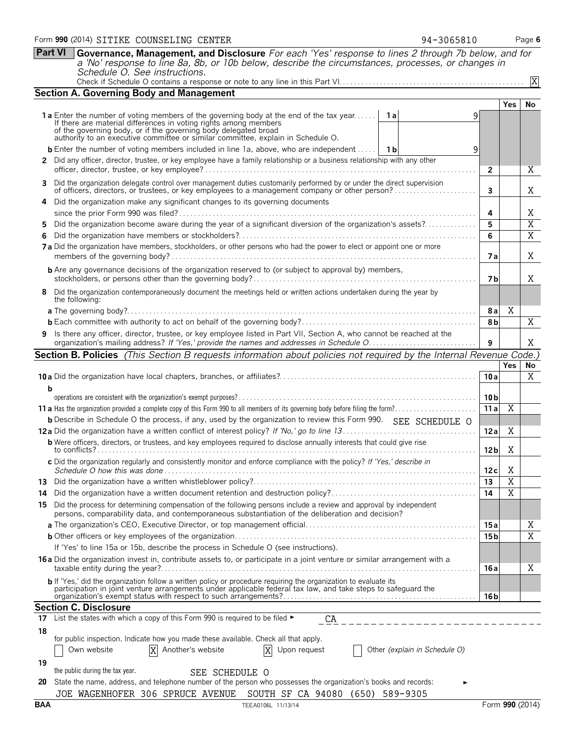|                                                                                                                  | <b>Section A. Governing Body and Management</b>                                                                                                                                                                                   |                               |                 |                 |                |  |  |  |  |  |  |
|------------------------------------------------------------------------------------------------------------------|-----------------------------------------------------------------------------------------------------------------------------------------------------------------------------------------------------------------------------------|-------------------------------|-----------------|-----------------|----------------|--|--|--|--|--|--|
|                                                                                                                  |                                                                                                                                                                                                                                   |                               |                 | <b>Yes</b>      | <b>No</b>      |  |  |  |  |  |  |
|                                                                                                                  | <b>1a</b> Enter the number of voting members of the governing body at the end of the tax year                                                                                                                                     | - 1 a<br>9                    |                 |                 |                |  |  |  |  |  |  |
|                                                                                                                  | If there are material differences in voting rights among members                                                                                                                                                                  |                               |                 |                 |                |  |  |  |  |  |  |
|                                                                                                                  | of the governing body, or if the governing body delegated broad<br>authority to an executive committee or similar committee, explain in Schedule O.                                                                               |                               |                 |                 |                |  |  |  |  |  |  |
|                                                                                                                  | <b>b</b> Enter the number of voting members included in line 1a, above, who are independent    1b                                                                                                                                 | 9                             |                 |                 |                |  |  |  |  |  |  |
|                                                                                                                  | 2 Did any officer, director, trustee, or key employee have a family relationship or a business relationship with any other                                                                                                        |                               |                 |                 |                |  |  |  |  |  |  |
|                                                                                                                  | $\overline{2}$                                                                                                                                                                                                                    |                               |                 |                 |                |  |  |  |  |  |  |
|                                                                                                                  | 3 Did the organization delegate control over management duties customarily performed by or under the direct supervision<br>of officers, directors, or trustees, or key employees to a management company or other person?         |                               | 3               |                 | Χ              |  |  |  |  |  |  |
|                                                                                                                  | 4 Did the organization make any significant changes to its governing documents                                                                                                                                                    |                               |                 |                 |                |  |  |  |  |  |  |
|                                                                                                                  |                                                                                                                                                                                                                                   |                               |                 |                 |                |  |  |  |  |  |  |
| Did the organization become aware during the year of a significant diversion of the organization's assets?<br>5. |                                                                                                                                                                                                                                   |                               |                 |                 |                |  |  |  |  |  |  |
| 6                                                                                                                |                                                                                                                                                                                                                                   |                               |                 |                 |                |  |  |  |  |  |  |
|                                                                                                                  | 7 a Did the organization have members, stockholders, or other persons who had the power to elect or appoint one or more                                                                                                           |                               | 7 a             |                 | X              |  |  |  |  |  |  |
|                                                                                                                  | <b>b</b> Are any governance decisions of the organization reserved to (or subject to approval by) members,                                                                                                                        |                               | 7 b             |                 | X              |  |  |  |  |  |  |
|                                                                                                                  | 8 Did the organization contemporaneously document the meetings held or written actions undertaken during the year by<br>the following:                                                                                            |                               |                 |                 |                |  |  |  |  |  |  |
|                                                                                                                  |                                                                                                                                                                                                                                   |                               | 8 a             | Χ               |                |  |  |  |  |  |  |
|                                                                                                                  |                                                                                                                                                                                                                                   |                               | 8 <sub>b</sub>  |                 | $\overline{X}$ |  |  |  |  |  |  |
|                                                                                                                  | 9 Is there any officer, director, trustee, or key employee listed in Part VII, Section A, who cannot be reached at the                                                                                                            |                               | 9               |                 | Χ              |  |  |  |  |  |  |
|                                                                                                                  | <b>Section B. Policies</b> (This Section B requests information about policies not required by the Internal Revenue Code.)                                                                                                        |                               |                 |                 |                |  |  |  |  |  |  |
|                                                                                                                  |                                                                                                                                                                                                                                   |                               |                 | Yes             | No             |  |  |  |  |  |  |
|                                                                                                                  |                                                                                                                                                                                                                                   |                               | 10a             |                 | X              |  |  |  |  |  |  |
| b                                                                                                                |                                                                                                                                                                                                                                   |                               |                 |                 |                |  |  |  |  |  |  |
|                                                                                                                  |                                                                                                                                                                                                                                   |                               | 10 <sub>b</sub> |                 |                |  |  |  |  |  |  |
|                                                                                                                  |                                                                                                                                                                                                                                   |                               | 11a             | Χ               |                |  |  |  |  |  |  |
|                                                                                                                  | <b>b</b> Describe in Schedule O the process, if any, used by the organization to review this Form 990. SEE SCHEDULE O                                                                                                             |                               |                 |                 |                |  |  |  |  |  |  |
|                                                                                                                  |                                                                                                                                                                                                                                   |                               | 12a             | Χ               |                |  |  |  |  |  |  |
|                                                                                                                  | <b>b</b> Were officers, directors, or trustees, and key employees required to disclose annually interests that could give rise                                                                                                    |                               | 12 <sub>b</sub> | Χ               |                |  |  |  |  |  |  |
|                                                                                                                  | c Did the organization regularly and consistently monitor and enforce compliance with the policy? If 'Yes,' describe in                                                                                                           |                               | 12c             | X               |                |  |  |  |  |  |  |
|                                                                                                                  |                                                                                                                                                                                                                                   |                               | 13              | $\overline{X}$  |                |  |  |  |  |  |  |
| 14                                                                                                               |                                                                                                                                                                                                                                   |                               | 14              | X               |                |  |  |  |  |  |  |
| 15.                                                                                                              | Did the process for determining compensation of the following persons include a review and approval by independent<br>persons, comparability data, and contemporaneous substantiation of the deliberation and decision?           |                               |                 |                 |                |  |  |  |  |  |  |
|                                                                                                                  |                                                                                                                                                                                                                                   |                               | 15 a            |                 | Χ              |  |  |  |  |  |  |
|                                                                                                                  |                                                                                                                                                                                                                                   |                               | 15 <sub>b</sub> |                 | Χ              |  |  |  |  |  |  |
|                                                                                                                  | If 'Yes' to line 15a or 15b, describe the process in Schedule O (see instructions).                                                                                                                                               |                               |                 |                 |                |  |  |  |  |  |  |
|                                                                                                                  |                                                                                                                                                                                                                                   |                               |                 |                 |                |  |  |  |  |  |  |
|                                                                                                                  | 16 a Did the organization invest in, contribute assets to, or participate in a joint venture or similar arrangement with a                                                                                                        |                               | 16 a            |                 | Χ              |  |  |  |  |  |  |
|                                                                                                                  | b If 'Yes,' did the organization follow a written policy or procedure requiring the organization to evaluate its<br>participation in joint venture arrangements under applicable federal tax law, and take steps to safeguard the |                               | 16 b            |                 |                |  |  |  |  |  |  |
|                                                                                                                  | <b>Section C. Disclosure</b>                                                                                                                                                                                                      |                               |                 |                 |                |  |  |  |  |  |  |
| 17                                                                                                               | List the states with which a copy of this Form 990 is required to be filed ►<br>CA                                                                                                                                                |                               |                 |                 |                |  |  |  |  |  |  |
| 18                                                                                                               |                                                                                                                                                                                                                                   |                               |                 |                 |                |  |  |  |  |  |  |
|                                                                                                                  | for public inspection. Indicate how you made these available. Check all that apply.                                                                                                                                               |                               |                 |                 |                |  |  |  |  |  |  |
|                                                                                                                  | X Another's website<br>Own website<br>X<br>Upon request                                                                                                                                                                           | Other (explain in Schedule O) |                 |                 |                |  |  |  |  |  |  |
| 19                                                                                                               |                                                                                                                                                                                                                                   |                               |                 |                 |                |  |  |  |  |  |  |
|                                                                                                                  | the public during the tax year.<br>SEE SCHEDULE O                                                                                                                                                                                 |                               |                 |                 |                |  |  |  |  |  |  |
| 20                                                                                                               | State the name, address, and telephone number of the person who possesses the organization's books and records:                                                                                                                   |                               |                 |                 |                |  |  |  |  |  |  |
|                                                                                                                  | JOE WAGENHOFER 306 SPRUCE AVENUE SOUTH SF CA 94080 (650) 589-9305                                                                                                                                                                 |                               |                 |                 |                |  |  |  |  |  |  |
| <b>BAA</b>                                                                                                       | TEEA0106L 11/13/14                                                                                                                                                                                                                |                               |                 | Form 990 (2014) |                |  |  |  |  |  |  |

**Part VI Governance, Management, and Disclosure** *For each 'Yes' response to lines 2 through 7b below, and for a 'No' response to line 8a, 8b, or 10b below, describe the circumstances, processes, or changes in*

Check if Schedule O contains a response or note to any line in this Part VI. . . . . . . . . . . . . . . . . . . . . . . . . . . . . . . . . . . . . . . . . . . . . . . . . .

*Schedule O. See instructions.*

X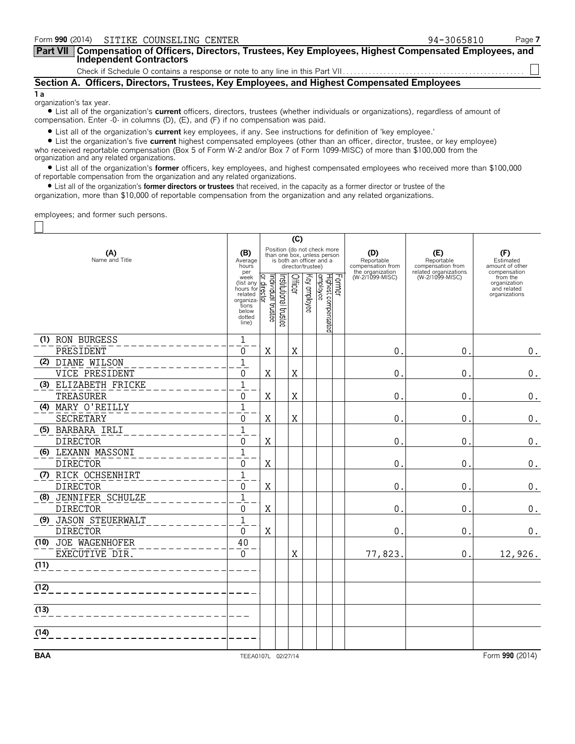| Form 990 (2014) SITIKE COUNSELING CENTER                                                                                            | 94-3065810 | Page 7 |
|-------------------------------------------------------------------------------------------------------------------------------------|------------|--------|
| Part VII   Compensation of Officers, Directors, Trustees, Key Employees, Highest Compensated Employees, and Independent Contractors |            |        |
|                                                                                                                                     |            |        |
| Section A. Officers, Directors, Trustees, Key Employees, and Highest Compensated Employees                                          |            |        |
| 1 a                                                                                                                                 |            |        |

organization's tax year.

 $\Box$ 

? List all of the organization's **current** officers, directors, trustees (whether individuals or organizations), regardless of amount of compensation. Enter -0- in columns (D), (E), and (F) if no compensation was paid.

? List all of the organization's **current** key employees, if any. See instructions for definition of 'key employee.'

? List the organization's five **current** highest compensated employees (other than an officer, director, trustee, or key employee) who received reportable compensation (Box 5 of Form W-2 and/or Box 7 of Form 1099-MISC) of more than \$100,000 from the organization and any related organizations.

? List all of the organization's **former** officers, key employees, and highest compensated employees who received more than \$100,000 of reportable compensation from the organization and any related organizations.

? List all of the organization's **former directors or trustees** that received, in the capacity as a former director or trustee of the organization, more than \$10,000 of reportable compensation from the organization and any related organizations.

employees; and former such persons.

|                                          |                                                                                                    | (C)                            |                       |         |                   |                                                                                        |                                        |                                          |                                                                          |
|------------------------------------------|----------------------------------------------------------------------------------------------------|--------------------------------|-----------------------|---------|-------------------|----------------------------------------------------------------------------------------|----------------------------------------|------------------------------------------|--------------------------------------------------------------------------|
| (A)<br>Name and Title                    | (B)<br>Average<br>hours                                                                            |                                |                       |         | director/trustee) | Position (do not check more<br>than one box, unless person<br>is both an officer and a | (D)<br>Reportable<br>compensation from | (E)<br>Reportable<br>compensation from   | (F)<br>Estimated<br>amount of other                                      |
|                                          | per<br>week<br>(list any<br>hours for<br>related<br>organiza-<br>tions<br>below<br>dotted<br>line) | Individual trustee<br>director | Institutional trustee | Officer | Key employee      | employee<br>Former<br>Highest compensated                                              | the organization<br>(W-2/1099-MISC)    | related organizations<br>(W-2/1099-MISC) | compensation<br>from the<br>organization<br>and related<br>organizations |
| (1) RON BURGESS<br>PRESIDENT             | $\mathbf 1$<br>0                                                                                   | X                              |                       | X       |                   |                                                                                        | $\mathbf 0$                            | $\mathbf 0$ .                            | $\boldsymbol{0}$ .                                                       |
| (2) DIANE WILSON                         | $\mathbf 1$                                                                                        |                                |                       |         |                   |                                                                                        |                                        |                                          |                                                                          |
| VICE PRESIDENT                           | 0                                                                                                  | X                              |                       | X       |                   |                                                                                        | $\mathbf{0}$ .                         | $\mathbf 0$ .                            | $\boldsymbol{0}$ .                                                       |
| (3) ELIZABETH FRICKE<br>TREASURER        | $\mathbf{1}$<br>$\mathbf 0$                                                                        | X                              |                       | X       |                   |                                                                                        | $\mathbf{0}$ .                         | 0.                                       | $0_{.}$                                                                  |
| (4) MARY O'REILLY<br>SECRETARY           | $\mathbf{1}$<br>0                                                                                  | X                              |                       | X       |                   |                                                                                        | 0                                      | $\mathbf 0$ .                            | $\boldsymbol{0}$ .                                                       |
| (5) BARBARA IRLI<br><b>DIRECTOR</b>      | $\mathbf{1}$<br>0                                                                                  | X                              |                       |         |                   |                                                                                        | $\theta$ .                             | 0.                                       | $0$ .                                                                    |
| (6) LEXANN MASSONI<br><b>DIRECTOR</b>    | $\mathbf{1}$<br>0                                                                                  | X                              |                       |         |                   |                                                                                        | $\theta$ .                             | $\theta$ .                               | $\boldsymbol{0}$ .                                                       |
| (7) RICK OCHSENHIRT<br><b>DIRECTOR</b>   | $1\,$<br>0                                                                                         | X                              |                       |         |                   |                                                                                        | $\mathbf 0$                            | 0.                                       | 0.                                                                       |
| (8) JENNIFER SCHULZE<br><b>DIRECTOR</b>  | $\mathbf{1}$<br>0                                                                                  | X                              |                       |         |                   |                                                                                        | $\mathbf 0$ .                          | $\mathbf 0$ .                            | 0.                                                                       |
| (9) JASON STEUERWALT<br><b>DIRECTOR</b>  | $\mathbf{1}$<br>$\Omega$                                                                           | $\rm X$                        |                       |         |                   |                                                                                        | 0                                      | 0.                                       | 0.                                                                       |
| JOE WAGENHOFER<br>(10)<br>EXECUTIVE DIR. | 40<br>$\Omega$                                                                                     |                                |                       | X       |                   |                                                                                        | 77,823.                                | 0.                                       | 12,926.                                                                  |
| (11)                                     |                                                                                                    |                                |                       |         |                   |                                                                                        |                                        |                                          |                                                                          |
| (12)                                     |                                                                                                    |                                |                       |         |                   |                                                                                        |                                        |                                          |                                                                          |
| (13)                                     |                                                                                                    |                                |                       |         |                   |                                                                                        |                                        |                                          |                                                                          |
| (14)                                     |                                                                                                    |                                |                       |         |                   |                                                                                        |                                        |                                          |                                                                          |
| <b>BAA</b>                               | TEEA0107L 02/27/14                                                                                 |                                |                       |         |                   |                                                                                        |                                        |                                          | Form 990 (2014)                                                          |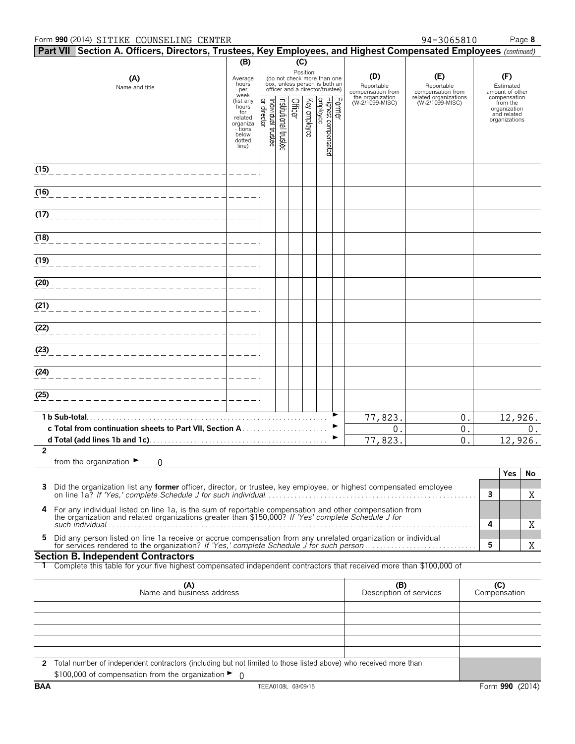#### Form **990** (2014) Page **8** SITIKE COUNSELING CENTER 94-3065810

| Part VII Section A. Officers, Directors, Trustees, Key Employees, and Highest Compensated Employees (continued) |                                                                                                 |                                  |                                                                                                             |         |                                        |                                           |  |                                     |                                          |   |                                                                          |    |
|-----------------------------------------------------------------------------------------------------------------|-------------------------------------------------------------------------------------------------|----------------------------------|-------------------------------------------------------------------------------------------------------------|---------|----------------------------------------|-------------------------------------------|--|-------------------------------------|------------------------------------------|---|--------------------------------------------------------------------------|----|
|                                                                                                                 | (B)<br>(C)                                                                                      |                                  |                                                                                                             |         |                                        |                                           |  |                                     |                                          |   |                                                                          |    |
| (A)<br>Name and title                                                                                           | Average<br>hours<br>per                                                                         |                                  | Position<br>(do not check more than one<br>box, unless person is both an<br>officer and a director/trustee) |         | (D)<br>Reportable<br>compensation from | (E)<br>Reportable<br>compensation from    |  | (F)<br>Estimated<br>amount of other |                                          |   |                                                                          |    |
|                                                                                                                 | week<br>(list any<br>hours<br>for<br>related<br>organiza<br>- tions<br>below<br>dotted<br>line) | Individual trustee<br>r director | nstitutional trustee                                                                                        | Officer | Key employee                           | Former<br>Highest compensated<br>employee |  | the organization<br>(W-2/1099-MISC) | related organizations<br>(W-2/1099-MISC) |   | compensation<br>from the<br>organization<br>and related<br>organizations |    |
| (15)                                                                                                            |                                                                                                 |                                  |                                                                                                             |         |                                        |                                           |  |                                     |                                          |   |                                                                          |    |
| (16)<br>______________________                                                                                  |                                                                                                 |                                  |                                                                                                             |         |                                        |                                           |  |                                     |                                          |   |                                                                          |    |
| (17)                                                                                                            |                                                                                                 |                                  |                                                                                                             |         |                                        |                                           |  |                                     |                                          |   |                                                                          |    |
| (18)                                                                                                            |                                                                                                 |                                  |                                                                                                             |         |                                        |                                           |  |                                     |                                          |   |                                                                          |    |
| (19)<br>_______________________                                                                                 |                                                                                                 |                                  |                                                                                                             |         |                                        |                                           |  |                                     |                                          |   |                                                                          |    |
| (20)<br>________________________                                                                                |                                                                                                 |                                  |                                                                                                             |         |                                        |                                           |  |                                     |                                          |   |                                                                          |    |
| $\overline{(21)}$                                                                                               |                                                                                                 |                                  |                                                                                                             |         |                                        |                                           |  |                                     |                                          |   |                                                                          |    |
| (22)<br>_____________________                                                                                   |                                                                                                 |                                  |                                                                                                             |         |                                        |                                           |  |                                     |                                          |   |                                                                          |    |
| (23)                                                                                                            |                                                                                                 |                                  |                                                                                                             |         |                                        |                                           |  |                                     |                                          |   |                                                                          |    |
| (24)                                                                                                            |                                                                                                 |                                  |                                                                                                             |         |                                        |                                           |  |                                     |                                          |   |                                                                          |    |
| (25)                                                                                                            |                                                                                                 |                                  |                                                                                                             |         |                                        |                                           |  |                                     |                                          |   |                                                                          |    |
|                                                                                                                 |                                                                                                 |                                  |                                                                                                             |         |                                        |                                           |  | 77,823.<br>0.                       | 0.<br>0.                                 |   | 12,926.                                                                  | 0. |
|                                                                                                                 |                                                                                                 |                                  |                                                                                                             |         |                                        |                                           |  | 77,823.                             | 0.                                       |   | 12,926.                                                                  |    |
| $\overline{2}$<br>from the organization $\blacktriangleright$<br>0                                              |                                                                                                 |                                  |                                                                                                             |         |                                        |                                           |  |                                     |                                          |   |                                                                          |    |
|                                                                                                                 |                                                                                                 |                                  |                                                                                                             |         |                                        |                                           |  |                                     |                                          |   | <b>Yes</b>                                                               | No |
| 3                                                                                                               |                                                                                                 |                                  |                                                                                                             |         |                                        |                                           |  |                                     |                                          | 3 |                                                                          | Χ  |

| Did the organization hist any <b>former</b> onlicer, uncertor, or trustee, key employee, or inquest compensated employee                                                                                      |  |
|---------------------------------------------------------------------------------------------------------------------------------------------------------------------------------------------------------------|--|
| 4 For any individual listed on line 1a, is the sum of reportable compensation and other compensation from the organization and related organizations greater than \$150,000? If 'Yes' complete Schedule J for |  |
|                                                                                                                                                                                                               |  |

5 Did any person listed on line 1a receive or accrue compensation from any unrelated organization or individual<br>6 for services rendered to the organization? If 'Yes,' complete Schedule J for such person....................

#### **Section B. Independent Contractors**

**1** Complete this table for your five highest compensated independent contractors that received more than \$100,000 of

| (A)<br>Name and business address                                                                                   | (B)<br>Description of services | Compensation |
|--------------------------------------------------------------------------------------------------------------------|--------------------------------|--------------|
|                                                                                                                    |                                |              |
|                                                                                                                    |                                |              |
|                                                                                                                    |                                |              |
|                                                                                                                    |                                |              |
|                                                                                                                    |                                |              |
| 2 Total number of independent contractors (including but not limited to those listed above) who received more than |                                |              |
| \$100,000 of compensation from the organization $\blacktriangleright$ 0                                            |                                |              |

X

X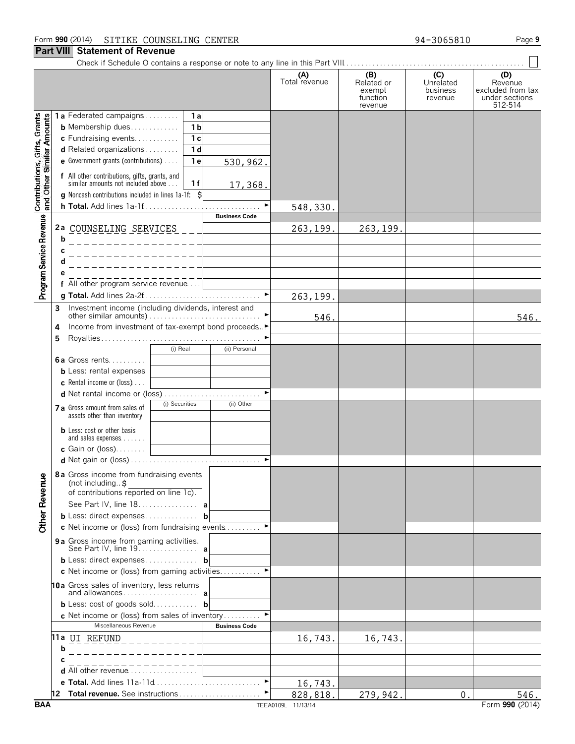#### **Part VIII Statement of Revenue**

Check if Schedule O contains a response or note to any line in this Part VIII. . . . . . . . . . . . . . . . . . . . . . . . . . . . . . . . . . . . . . . . . . . . . . . . .

|                                                           |   |                                                                                                                                        | (A)<br>Total revenue | (B)<br>Related or<br>exempt<br>function<br>revenue | (C)<br>Unrelated<br>business<br>revenue | (D)<br>Revenue<br>excluded from tax<br>under sections<br>512-514 |
|-----------------------------------------------------------|---|----------------------------------------------------------------------------------------------------------------------------------------|----------------------|----------------------------------------------------|-----------------------------------------|------------------------------------------------------------------|
|                                                           |   | 1a Federated campaigns<br>1 a                                                                                                          |                      |                                                    |                                         |                                                                  |
|                                                           |   |                                                                                                                                        |                      |                                                    |                                         |                                                                  |
|                                                           |   | 1 <sub>b</sub><br><b>b</b> Membership dues                                                                                             |                      |                                                    |                                         |                                                                  |
|                                                           |   | c Fundraising events<br>1 <sub>c</sub>                                                                                                 |                      |                                                    |                                         |                                                                  |
|                                                           |   | <b>d</b> Related organizations $\ldots$<br>1 <sub>d</sub>                                                                              |                      |                                                    |                                         |                                                                  |
|                                                           |   | e Government grants (contributions)<br>1 <sub>e</sub><br>530,962.                                                                      |                      |                                                    |                                         |                                                                  |
|                                                           |   | f All other contributions, gifts, grants, and                                                                                          |                      |                                                    |                                         |                                                                  |
| Contributions, Gifts, Grants<br>and Other Similar Amounts |   | similar amounts not included above<br>1f<br>17,368.<br>g Noncash contributions included in lines 1a-1f: \$                             |                      |                                                    |                                         |                                                                  |
|                                                           |   |                                                                                                                                        |                      |                                                    |                                         |                                                                  |
|                                                           |   | <b>Business Code</b>                                                                                                                   | 548,330.             |                                                    |                                         |                                                                  |
|                                                           |   |                                                                                                                                        |                      |                                                    |                                         |                                                                  |
| Program Service Revenue                                   |   | 2a COUNSELING SERVICES ___                                                                                                             | 263,199.             | 263,199.                                           |                                         |                                                                  |
|                                                           | b |                                                                                                                                        |                      |                                                    |                                         |                                                                  |
|                                                           |   |                                                                                                                                        |                      |                                                    |                                         |                                                                  |
|                                                           |   |                                                                                                                                        |                      |                                                    |                                         |                                                                  |
|                                                           |   |                                                                                                                                        |                      |                                                    |                                         |                                                                  |
|                                                           |   | f All other program service revenue                                                                                                    |                      |                                                    |                                         |                                                                  |
|                                                           |   |                                                                                                                                        |                      |                                                    |                                         |                                                                  |
|                                                           |   |                                                                                                                                        | 263,199.             |                                                    |                                         |                                                                  |
|                                                           | 3 | Investment income (including dividends, interest and<br>other similar amounts) $\dots \dots \dots \dots \dots \dots \dots \dots \dots$ |                      |                                                    |                                         |                                                                  |
|                                                           |   |                                                                                                                                        | 546                  |                                                    |                                         | 546.                                                             |
|                                                           | 4 | Income from investment of tax-exempt bond proceeds▶                                                                                    |                      |                                                    |                                         |                                                                  |
|                                                           | 5 |                                                                                                                                        |                      |                                                    |                                         |                                                                  |
|                                                           |   | (i) Real<br>(ii) Personal                                                                                                              |                      |                                                    |                                         |                                                                  |
|                                                           |   | <b>6a</b> Gross rents                                                                                                                  |                      |                                                    |                                         |                                                                  |
|                                                           |   | <b>b</b> Less: rental expenses                                                                                                         |                      |                                                    |                                         |                                                                  |
|                                                           |   | <b>c</b> Rental income or (loss) $\ldots$                                                                                              |                      |                                                    |                                         |                                                                  |
|                                                           |   |                                                                                                                                        |                      |                                                    |                                         |                                                                  |
|                                                           |   | (i) Securities<br>(ii) Other                                                                                                           |                      |                                                    |                                         |                                                                  |
|                                                           |   | 7 a Gross amount from sales of                                                                                                         |                      |                                                    |                                         |                                                                  |
|                                                           |   | assets other than inventory                                                                                                            |                      |                                                    |                                         |                                                                  |
|                                                           |   | <b>b</b> Less: cost or other basis                                                                                                     |                      |                                                    |                                         |                                                                  |
|                                                           |   | and sales expenses                                                                                                                     |                      |                                                    |                                         |                                                                  |
|                                                           |   | <b>c</b> Gain or (loss). $\ldots$                                                                                                      |                      |                                                    |                                         |                                                                  |
|                                                           |   |                                                                                                                                        |                      |                                                    |                                         |                                                                  |
|                                                           |   | 8a Gross income from fundraising events                                                                                                |                      |                                                    |                                         |                                                                  |
| å                                                         |   | (not including\$                                                                                                                       |                      |                                                    |                                         |                                                                  |
|                                                           |   | of contributions reported on line 1c).                                                                                                 |                      |                                                    |                                         |                                                                  |
|                                                           |   | See Part IV, line 18. a                                                                                                                |                      |                                                    |                                         |                                                                  |
| Other Rever                                               |   | <b>b</b> Less: direct expenses <b>b</b>                                                                                                |                      |                                                    |                                         |                                                                  |
|                                                           |   |                                                                                                                                        |                      |                                                    |                                         |                                                                  |
|                                                           |   | c Net income or (loss) from fundraising events                                                                                         |                      |                                                    |                                         |                                                                  |
|                                                           |   | 9 a Gross income from gaming activities.                                                                                               |                      |                                                    |                                         |                                                                  |
|                                                           |   | See Part IV, line 19. <b>a</b>                                                                                                         |                      |                                                    |                                         |                                                                  |
|                                                           |   | <b>b</b> Less: direct expenses <b>b</b>                                                                                                |                      |                                                    |                                         |                                                                  |
|                                                           |   | c Net income or (loss) from gaming activities                                                                                          |                      |                                                    |                                         |                                                                  |
|                                                           |   | 10a Gross sales of inventory, less returns                                                                                             |                      |                                                    |                                         |                                                                  |
|                                                           |   |                                                                                                                                        |                      |                                                    |                                         |                                                                  |
|                                                           |   | <b>b</b> Less: cost of goods sold <b>b</b>                                                                                             |                      |                                                    |                                         |                                                                  |
|                                                           |   | c Net income or (loss) from sales of inventory                                                                                         |                      |                                                    |                                         |                                                                  |
|                                                           |   | Miscellaneous Revenue<br><b>Business Code</b>                                                                                          |                      |                                                    |                                         |                                                                  |
|                                                           |   |                                                                                                                                        |                      |                                                    |                                         |                                                                  |
|                                                           |   |                                                                                                                                        | 16,743.              | 16,743.                                            |                                         |                                                                  |
|                                                           | b |                                                                                                                                        |                      |                                                    |                                         |                                                                  |
|                                                           |   |                                                                                                                                        |                      |                                                    |                                         |                                                                  |
|                                                           |   | d All other revenue                                                                                                                    |                      |                                                    |                                         |                                                                  |
|                                                           |   | e Total. Add lines 11a-11d                                                                                                             | 16,743.              |                                                    |                                         |                                                                  |
|                                                           |   | 12 Total revenue. See instructions                                                                                                     | 828,818.             | 279,942.                                           | 0.                                      | 546.                                                             |
| <b>BAA</b>                                                |   |                                                                                                                                        | TEEA0109L 11/13/14   |                                                    |                                         | Form 990 (2014)                                                  |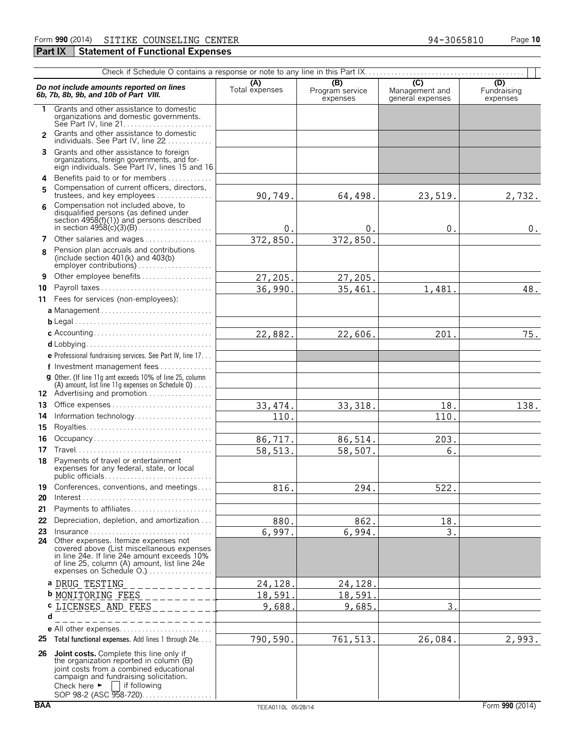### **Part IX** Statement of Functional Expenses

|              | Do not include amounts reported on lines<br>6b, 7b, 8b, 9b, and 10b of Part VIII.                                                                                                                                                                                                                     | (A)<br>Total expenses | (B)<br>Program service<br>expenses | $\overline{C}$<br>Management and<br>general expenses | (D)<br>Fundraising<br>expenses |
|--------------|-------------------------------------------------------------------------------------------------------------------------------------------------------------------------------------------------------------------------------------------------------------------------------------------------------|-----------------------|------------------------------------|------------------------------------------------------|--------------------------------|
| 1.           | Grants and other assistance to domestic<br>organizations and domestic governments.<br>See Part IV. line $21, \ldots, \ldots, \ldots, \ldots, \ldots, \ldots$                                                                                                                                          |                       |                                    |                                                      |                                |
| $\mathbf{c}$ | Grants and other assistance to domestic<br>individuals. See Part IV, line 22                                                                                                                                                                                                                          |                       |                                    |                                                      |                                |
|              | 3 Grants and other assistance to foreign<br>organizations, foreign governments, and for-<br>eign individuals. See Part IV, lines 15 and 16                                                                                                                                                            |                       |                                    |                                                      |                                |
| 4            | Benefits paid to or for members                                                                                                                                                                                                                                                                       |                       |                                    |                                                      |                                |
| 5            | Compensation of current officers, directors,<br>trustees, and key employees                                                                                                                                                                                                                           | 90,749.               | 64,498.                            | 23,519.                                              | 2,732.                         |
| 6            | Compensation not included above, to<br>disqualified persons (as defined under<br>section $4958(f)(1)$ and persons described                                                                                                                                                                           |                       |                                    |                                                      |                                |
|              | 7 Other salaries and wages                                                                                                                                                                                                                                                                            | 0.<br>372,850.        | $0$ .<br>372,850                   | 0.                                                   | 0.                             |
| 8            | Pension plan accruals and contributions<br>(include section $401(k)$ and $403(b)$                                                                                                                                                                                                                     |                       |                                    |                                                      |                                |
| 9            | Other employee benefits                                                                                                                                                                                                                                                                               | 27,205.               | 27,205.                            |                                                      |                                |
| 10           | Payroll taxes                                                                                                                                                                                                                                                                                         | 36,990.               | 35,461                             | 1,481.                                               | 48.                            |
|              | 11 Fees for services (non-employees):                                                                                                                                                                                                                                                                 |                       |                                    |                                                      |                                |
|              |                                                                                                                                                                                                                                                                                                       |                       |                                    |                                                      |                                |
|              |                                                                                                                                                                                                                                                                                                       |                       |                                    |                                                      |                                |
|              |                                                                                                                                                                                                                                                                                                       | 22,882.               | 22,606.                            | 201.                                                 | 75.                            |
|              |                                                                                                                                                                                                                                                                                                       |                       |                                    |                                                      |                                |
|              | e Professional fundraising services. See Part IV, line 17                                                                                                                                                                                                                                             |                       |                                    |                                                      |                                |
|              | f Investment management fees<br>g Other. (If line 11g amt exceeds 10% of line 25, column                                                                                                                                                                                                              |                       |                                    |                                                      |                                |
|              | (A) amount, list line 11g expenses on Schedule $0$ )                                                                                                                                                                                                                                                  |                       |                                    |                                                      |                                |
|              | 12 Advertising and promotion                                                                                                                                                                                                                                                                          |                       |                                    |                                                      |                                |
| 13           |                                                                                                                                                                                                                                                                                                       | 33, 474.              | 33, 318.                           | 18.                                                  | 138.                           |
| 14           | Information technology                                                                                                                                                                                                                                                                                | 110.                  |                                    | 110.                                                 |                                |
| 15           |                                                                                                                                                                                                                                                                                                       |                       |                                    |                                                      |                                |
| 16<br>17     | Occupancy                                                                                                                                                                                                                                                                                             | 86,717.               | 86,514.                            | 203.<br>6.                                           |                                |
|              | 18 Payments of travel or entertainment<br>expenses for any federal, state, or local                                                                                                                                                                                                                   | 58,513.               | 58,507.                            |                                                      |                                |
| 19<br>20     | Conferences, conventions, and meetings                                                                                                                                                                                                                                                                | 816.                  | 294.                               | 522.                                                 |                                |
| 21           | Payments to affiliates                                                                                                                                                                                                                                                                                |                       |                                    |                                                      |                                |
| 22           | Depreciation, depletion, and amortization                                                                                                                                                                                                                                                             | 880.                  | 862.                               | 18.                                                  |                                |
| 23           | $insurance \ldots \ldots \ldots \ldots \ldots \ldots \ldots \ldots \ldots \ldots$<br>24 Other expenses. Itemize expenses not<br>covered above (List miscellaneous expenses<br>in line 24e. If line 24e amount exceeds 10%<br>of line 25, column (A) amount, list line 24e<br>expenses on Schedule O.) | 6,997.                | 6,994.                             | 3.                                                   |                                |
|              | a DRUG TESTING<br>$\frac{1}{2}$                                                                                                                                                                                                                                                                       | 24,128.               | 24,128.                            |                                                      |                                |
|              | <b>b</b> MONITORING FEES<br>----------                                                                                                                                                                                                                                                                | 18,591.               | 18,591                             |                                                      |                                |
|              | C LICENSES AND FEES _________                                                                                                                                                                                                                                                                         | 9,688.                | 9,685.                             | 3.                                                   |                                |
| d            | --------------                                                                                                                                                                                                                                                                                        |                       |                                    |                                                      |                                |
|              |                                                                                                                                                                                                                                                                                                       |                       |                                    |                                                      |                                |
|              | 25 Total functional expenses. Add lines 1 through 24e                                                                                                                                                                                                                                                 | 790,590.              | 761, 513.                          | 26,084.                                              | 2,993.                         |
| 26           | <b>Joint costs.</b> Complete this line only if<br>the organization reported in column (B)<br>joint costs from a combined educational<br>campaign and fundraising solicitation.<br>Check here $\blacktriangleright$<br>    if following<br>SOP 98-2 (ASC 958-720)                                      |                       |                                    |                                                      |                                |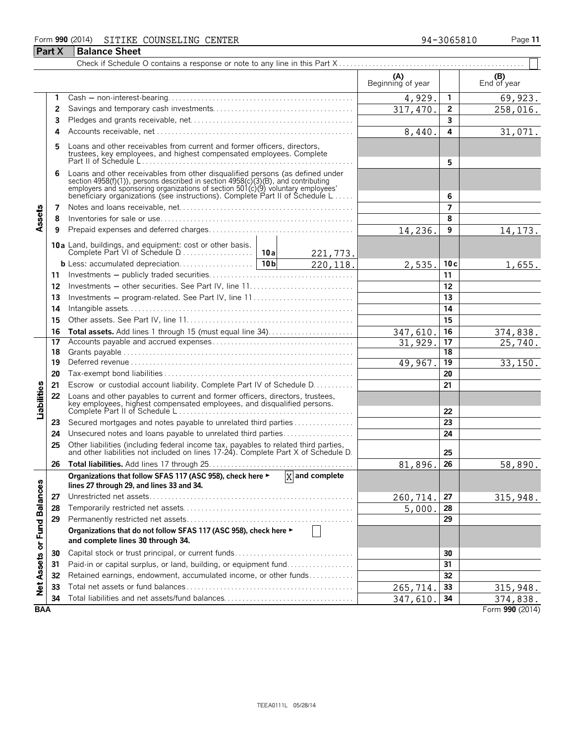#### Form **990** (2014) Page **11** SITIKE COUNSELING CENTER 34-3065810

| <b>Part X</b>               |    | <b>Balance Sheet</b>                                                                                                                                                                                                                                                                                                 |          |                             |                          |                 |                       |
|-----------------------------|----|----------------------------------------------------------------------------------------------------------------------------------------------------------------------------------------------------------------------------------------------------------------------------------------------------------------------|----------|-----------------------------|--------------------------|-----------------|-----------------------|
|                             |    |                                                                                                                                                                                                                                                                                                                      |          |                             |                          |                 |                       |
|                             |    |                                                                                                                                                                                                                                                                                                                      |          |                             | (A)<br>Beginning of year |                 | (B)<br>End of year    |
|                             | 1  |                                                                                                                                                                                                                                                                                                                      |          |                             | 4,929.                   | $\mathbf{1}$    | 69,923.               |
|                             | 2  |                                                                                                                                                                                                                                                                                                                      |          |                             | 317, 470.                | $\overline{2}$  | 258,016.              |
|                             | 3  |                                                                                                                                                                                                                                                                                                                      |          |                             |                          | $\overline{3}$  |                       |
|                             | 4  |                                                                                                                                                                                                                                                                                                                      |          |                             | 8,440.                   | 4               | 31,071.               |
|                             |    | Loans and other receivables from current and former officers, directors,<br>trustees, key employees, and highest compensated employees. Complete<br>Part II of Schedule $L_{1}, \ldots, L_{n}$ . $\ldots, L_{n}$ . $\ldots, L_{n}$ . $\ldots, L_{n}$ . $\ldots, L_{n}$                                               |          |                             |                          | 5               |                       |
|                             | 6  | Loans and other receivables from other disqualified persons (as defined under<br>section 4958(f)(1)), persons described in section 4958(c)(3)(B), and contributing<br>employers and sponsoring organizations of section 501(c)(9) voluntary employees<br>beneficiary organizations (see instructions). Complete Part |          |                             |                          | 6               |                       |
|                             | 7  |                                                                                                                                                                                                                                                                                                                      |          |                             |                          | $\overline{ }$  |                       |
| Assets                      | 8  |                                                                                                                                                                                                                                                                                                                      |          |                             |                          | 8               |                       |
|                             | 9  |                                                                                                                                                                                                                                                                                                                      |          |                             | 14,236.                  | 9               | 14, 173.              |
|                             |    |                                                                                                                                                                                                                                                                                                                      |          | 221,773.                    |                          |                 |                       |
|                             |    |                                                                                                                                                                                                                                                                                                                      |          | 220, 118.                   | 2,535.                   | 10c             | 1,655.                |
|                             | 11 |                                                                                                                                                                                                                                                                                                                      |          |                             |                          | 11              |                       |
|                             | 12 |                                                                                                                                                                                                                                                                                                                      |          |                             |                          | 12              |                       |
|                             | 13 | Investments – program-related. See Part IV, line 11                                                                                                                                                                                                                                                                  |          |                             |                          | 13              |                       |
|                             | 14 |                                                                                                                                                                                                                                                                                                                      |          | 14                          |                          |                 |                       |
|                             | 15 |                                                                                                                                                                                                                                                                                                                      |          | 15                          |                          |                 |                       |
|                             | 16 | Total assets. Add lines 1 through 15 (must equal line 34)                                                                                                                                                                                                                                                            | 347,610. | 16                          | 374,838.                 |                 |                       |
|                             | 17 |                                                                                                                                                                                                                                                                                                                      |          |                             | 31,929.                  | 17              | $\overline{25,740}$ . |
|                             | 18 |                                                                                                                                                                                                                                                                                                                      |          |                             |                          | 18              |                       |
|                             | 19 |                                                                                                                                                                                                                                                                                                                      |          |                             | 49,967.                  | $\overline{19}$ | 33,150.               |
|                             | 20 |                                                                                                                                                                                                                                                                                                                      |          |                             |                          | 20              |                       |
|                             | 21 | Escrow or custodial account liability. Complete Part IV of Schedule D.                                                                                                                                                                                                                                               |          |                             |                          | 21              |                       |
| Liabilities                 | 22 | Loans and other payables to current and former officers, directors, trustees,<br>key employees, highest compensated employees, and disqualified persons.                                                                                                                                                             |          |                             |                          | 22              |                       |
|                             | 23 | Secured mortgages and notes payable to unrelated third parties                                                                                                                                                                                                                                                       |          |                             |                          | 23              |                       |
|                             | 24 | Unsecured notes and loans payable to unrelated third parties                                                                                                                                                                                                                                                         |          |                             |                          | 24              |                       |
|                             | 25 | Other liabilities (including federal income tax, payables to related third parties, and other liabilities not included on lines 17-24). Complete Part X of Schedule D.                                                                                                                                               |          |                             |                          | 25              |                       |
|                             | 26 |                                                                                                                                                                                                                                                                                                                      |          |                             | 81,896.                  | 26              | 58,890.               |
|                             |    | Organizations that follow SFAS 117 (ASC 958), check here ►<br>lines 27 through 29, and lines 33 and 34.                                                                                                                                                                                                              |          | $\overline{X}$ and complete |                          |                 |                       |
|                             | 27 |                                                                                                                                                                                                                                                                                                                      |          |                             | 260,714.                 | 27              | 315,948.              |
|                             | 28 |                                                                                                                                                                                                                                                                                                                      |          |                             | 5,000.                   | 28              |                       |
|                             | 29 |                                                                                                                                                                                                                                                                                                                      |          |                             |                          | 29              |                       |
| Net Assets or Fund Balances |    | Organizations that do not follow SFAS 117 (ASC 958), check here ►<br>and complete lines 30 through 34.                                                                                                                                                                                                               |          |                             |                          |                 |                       |
|                             | 30 |                                                                                                                                                                                                                                                                                                                      |          |                             |                          | 30              |                       |
|                             | 31 | Paid-in or capital surplus, or land, building, or equipment fund                                                                                                                                                                                                                                                     |          |                             |                          | 31              |                       |
|                             | 32 | Retained earnings, endowment, accumulated income, or other funds                                                                                                                                                                                                                                                     |          |                             |                          | 32              |                       |
|                             | 33 |                                                                                                                                                                                                                                                                                                                      |          |                             | 265,714.                 | 33              | 315,948.              |
|                             | 34 |                                                                                                                                                                                                                                                                                                                      |          |                             | 347,610.                 | 34              | 374,838.              |
| <b>BAA</b>                  |    |                                                                                                                                                                                                                                                                                                                      |          |                             |                          | Form 990 (2014) |                       |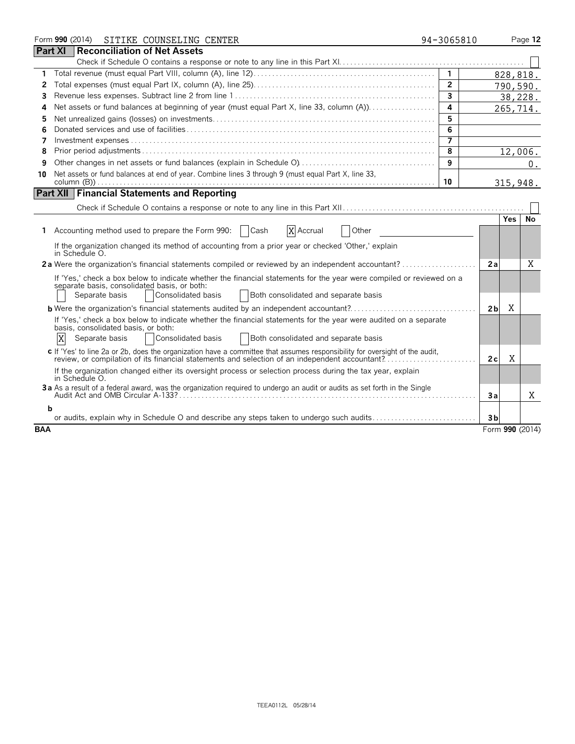|            |                     | Form 990 (2014) SITIKE COUNSELING CENTER                                                                                                                                                                                           | 94-3065810     |                     | Page 12  |
|------------|---------------------|------------------------------------------------------------------------------------------------------------------------------------------------------------------------------------------------------------------------------------|----------------|---------------------|----------|
|            | <b>Part XI</b>      | <b>Reconciliation of Net Assets</b>                                                                                                                                                                                                |                |                     |          |
|            |                     |                                                                                                                                                                                                                                    |                |                     |          |
| 1          |                     |                                                                                                                                                                                                                                    | $\mathbf{1}$   |                     | 828,818. |
| 2          |                     |                                                                                                                                                                                                                                    | $\overline{2}$ |                     | 790,590. |
| 3          |                     |                                                                                                                                                                                                                                    | $\overline{3}$ |                     | 38,228.  |
| 4          |                     |                                                                                                                                                                                                                                    | 4              |                     | 265,714. |
| 5          |                     |                                                                                                                                                                                                                                    | 5              |                     |          |
| 6          |                     |                                                                                                                                                                                                                                    | 6              |                     |          |
| 7          |                     |                                                                                                                                                                                                                                    | 7              |                     |          |
| 8          |                     |                                                                                                                                                                                                                                    | 8              |                     | 12,006.  |
| 9          |                     |                                                                                                                                                                                                                                    | 9              |                     | 0.       |
| 10         |                     | Net assets or fund balances at end of year. Combine lines 3 through 9 (must equal Part X, line 33,                                                                                                                                 | 10             |                     | 315,948. |
|            |                     | <b>Part XII Financial Statements and Reporting</b>                                                                                                                                                                                 |                |                     |          |
|            |                     |                                                                                                                                                                                                                                    |                |                     |          |
|            |                     |                                                                                                                                                                                                                                    |                | Yes.                | No       |
| 1.         |                     | Accounting method used to prepare the Form 990:<br>  Cash<br>X Accrual<br>Other                                                                                                                                                    |                |                     |          |
|            | in Schedule O.      | If the organization changed its method of accounting from a prior year or checked 'Other,' explain                                                                                                                                 |                |                     |          |
|            |                     | 2a Were the organization's financial statements compiled or reviewed by an independent accountant?                                                                                                                                 |                | 2a                  | Χ        |
|            | Separate basis      | If 'Yes,' check a box below to indicate whether the financial statements for the year were compiled or reviewed on a<br>separate basis, consolidated basis, or both:<br>Consolidated basis<br>Both consolidated and separate basis |                |                     |          |
|            |                     |                                                                                                                                                                                                                                    |                | X<br>2 <sub>b</sub> |          |
|            | X<br>Separate basis | If 'Yes,' check a box below to indicate whether the financial statements for the year were audited on a separate<br>basis, consolidated basis, or both:<br>Consolidated basis<br>Both consolidated and separate basis              |                |                     |          |
|            |                     | c If 'Yes' to line 2a or 2b, does the organization have a committee that assumes responsibility for oversight of the audit,<br>review, or compilation of its financial statements and selection of an independent accountant?      |                | X<br>2c             |          |
|            | in Schedule O.      | If the organization changed either its oversight process or selection process during the tax year, explain                                                                                                                         |                |                     |          |
|            |                     | 3a As a result of a federal award, was the organization required to undergo an audit or audits as set forth in the Single                                                                                                          |                | Зa                  | X        |
|            | b                   |                                                                                                                                                                                                                                    |                |                     |          |
|            |                     | or audits, explain why in Schedule O and describe any steps taken to undergo such audits                                                                                                                                           |                | 3 <sub>b</sub>      |          |
| <b>BAA</b> |                     |                                                                                                                                                                                                                                    |                | Form 990 (2014)     |          |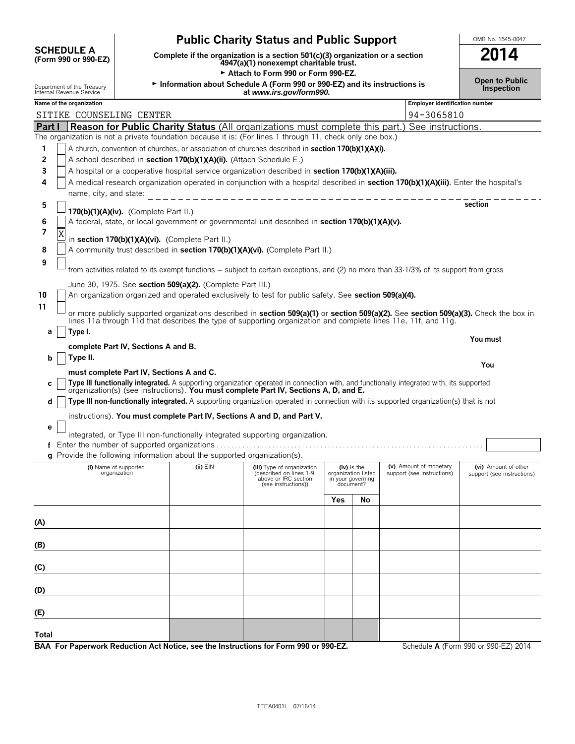|                                                                                                                  | <b>Public Charity Status and Public Support</b>                                                                      | OMB No. 1545-0047                                                         |  |  |  |  |  |
|------------------------------------------------------------------------------------------------------------------|----------------------------------------------------------------------------------------------------------------------|---------------------------------------------------------------------------|--|--|--|--|--|
| <b>SCHEDULE A</b><br>(Form 990 or 990-EZ)                                                                        | Complete if the organization is a section 501(c)(3) organization or a section 4947(a)(1) nonexempt charitable trust. | 2014                                                                      |  |  |  |  |  |
| Department of the Treasury<br>Internal Revenue Service                                                           | Attach to Form 990 or Form 990-EZ.<br>at www.irs.gov/form990.                                                        | Information about Schedule A (Form 990 or 990-EZ) and its instructions is |  |  |  |  |  |
| Name of the organization                                                                                         |                                                                                                                      | <b>Employer identification number</b>                                     |  |  |  |  |  |
| SITIKE COUNSELING CENTER                                                                                         |                                                                                                                      | 94-3065810                                                                |  |  |  |  |  |
| <b>Reason for Public Charity Status</b> (All organizations must complete this part.) See instructions.<br>Part I |                                                                                                                      |                                                                           |  |  |  |  |  |
|                                                                                                                  | The organization is not a private foundation because it is: (For lines 1 through 11, check only one box.)            |                                                                           |  |  |  |  |  |
|                                                                                                                  | A church, convention of churches, or association of churches described in section 170(b)(1)(A)(i).                   |                                                                           |  |  |  |  |  |
| $\sim$                                                                                                           | $\overline{A}$ calcel described in section 170(b)(1)(A)(A)(B) (Attack Calcelule $\overline{C}$ )                     |                                                                           |  |  |  |  |  |

#### **2** | | A school described in **section 170(b)(1)(A)(ii).** (Attach Schedule E.) **3** A hospital or a cooperative hospital service organization described in **section 170(b)(1)(A)(iii). 4** A medical research organization operated in conjunction with a hospital described in **section 170(b)(1)(A)(iii)**. Enter the hospital's name, city, and state: **5 section 170(b)(1)(A)(iv).** (Complete Part II.) **6** A federal, state, or local government or governmental unit described in **section 170(b)(1)(A)(v).** in **section 170(b)(1)(A)(vi).** (Complete Part II.) **8** A community trust described in **section 170(b)(1)(A)(vi).** (Complete Part II.) from activities related to its exempt functions - subject to certain exceptions, and (2) no more than 33-1/3% of its support from gross June 30, 1975. See **section 509(a)(2).** (Complete Part III.) **10** An organization organized and operated exclusively to test for public safety. See **section 509(a)(4).** or more publicly supported organizations described in **section 509(a)(1)** or **section 509(a)(2).** See **section 509(a)(3).** Check the box in lines 11a through 11d that describes the type of supporting organization and complete lines 11e, 11f, and 11g. **a Type I. You must complete Part IV, Sections A and B. b Type II.**

**must complete Part IV, Sections A and C.** c | Type III functionally integrated. A supporting organization operated in connection with, and functionally integrated with, its supported or ganization(s) (see instructions). You must complete Part IV, Sections A, D, an **d** | Type III non-functionally integrated. A supporting organization operated in connection with its supported organization(s) that is not

instructions). **You must complete Part IV, Sections A and D, and Part V.**

**e** integrated, or Type III non-functionally integrated supporting organization.

**f** Enter the number of supported organizations. . . . . . . . . . . . . . . . . . . . . . . . . . . . . . . . . . . . . . . . . . . . . . . . . . . . . . . . . . . . . . . . . . . . . . . . .

**g** Provide the following information about the supported organization(s).

**7**

X

**9**

**11**

| (i) Name of supported<br>organization                                                | $(ii)$ EIN | (iii) Type of organization<br>(described on lines 1-9<br>above or IRC section<br>(see instructions)) | $(iv)$ is the<br>organization listed<br>in your governing<br>document? |    | (v) Amount of monetary<br>support (see instructions) | (vi) Amount of other<br>support (see instructions) |
|--------------------------------------------------------------------------------------|------------|------------------------------------------------------------------------------------------------------|------------------------------------------------------------------------|----|------------------------------------------------------|----------------------------------------------------|
|                                                                                      |            |                                                                                                      | Yes                                                                    | No |                                                      |                                                    |
| (A)                                                                                  |            |                                                                                                      |                                                                        |    |                                                      |                                                    |
| (B)                                                                                  |            |                                                                                                      |                                                                        |    |                                                      |                                                    |
| (C)                                                                                  |            |                                                                                                      |                                                                        |    |                                                      |                                                    |
| (D)                                                                                  |            |                                                                                                      |                                                                        |    |                                                      |                                                    |
| (E)                                                                                  |            |                                                                                                      |                                                                        |    |                                                      |                                                    |
| Total                                                                                |            |                                                                                                      |                                                                        |    |                                                      |                                                    |
| BAA For Paperwork Reduction Act Notice, see the Instructions for Form 990 or 990-EZ. |            |                                                                                                      |                                                                        |    |                                                      | Schedule A (Form 990 or 990-EZ) 2014               |

**Open to Public**

**You**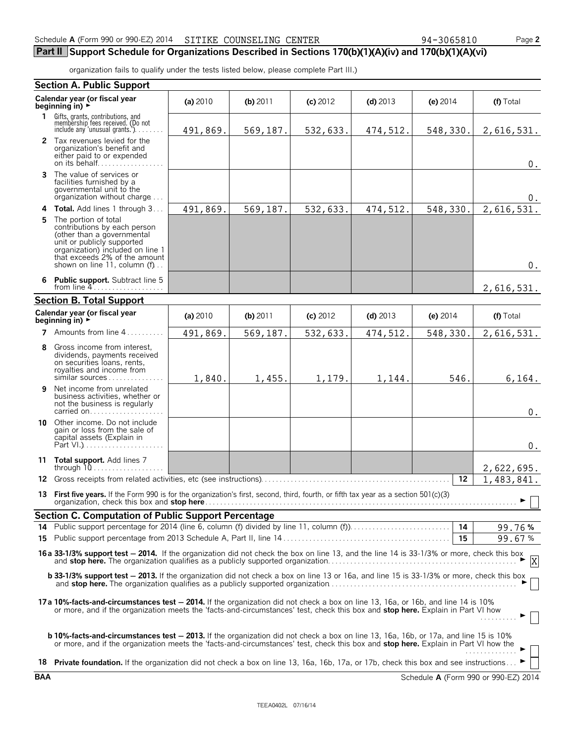### **Part II Support Schedule for Organizations Described in Sections 170(b)(1)(A)(iv) and 170(b)(1)(A)(vi)**

organization fails to qualify under the tests listed below, please complete Part III.)

|    | <b>Section A. Public Support</b>                                                                                                                                                                                                                                                         |          |            |            |            |            |            |
|----|------------------------------------------------------------------------------------------------------------------------------------------------------------------------------------------------------------------------------------------------------------------------------------------|----------|------------|------------|------------|------------|------------|
|    | Calendar year (or fiscal year<br>beginning in) $\rightarrow$                                                                                                                                                                                                                             | (a) 2010 | $(b)$ 2011 | $(c)$ 2012 | $(d)$ 2013 | (e) $2014$ | (f) Total  |
| 1. | Gifts, grants, contributions, and<br>membership fees received. (Do not<br>include any 'unusual grants.'). $\ldots$                                                                                                                                                                       | 491,869. | 569,187.   | 532,633.   | 474,512.   | 548,330.   | 2,616,531. |
|    | 2 Tax revenues levied for the<br>organization's benefit and<br>either paid to or expended<br>on its behalf                                                                                                                                                                               |          |            |            |            |            | $0$ .      |
| 3  | The value of services or<br>facilities furnished by a<br>governmental unit to the<br>organization without charge                                                                                                                                                                         |          |            |            |            |            | 0.         |
|    | 4 Total. Add lines 1 through 3                                                                                                                                                                                                                                                           | 491,869. | 569,187.   | 532,633.   | 474,512.   | 548,330.   | 2,616,531. |
| 5  | The portion of total<br>contributions by each person<br>(other than a governmental<br>unit or publicly supported<br>organization) included on line 1<br>that exceeds 2% of the amount<br>shown on line 11, column $(f)$                                                                  |          |            |            |            |            | $0$ .      |
| 6  | <b>Public support.</b> Subtract line 5<br>from line $4$                                                                                                                                                                                                                                  |          |            |            |            |            | 2,616,531. |
|    | <b>Section B. Total Support</b>                                                                                                                                                                                                                                                          |          |            |            |            |            |            |
|    | Calendar year (or fiscal year<br>beginning in) $\rightarrow$                                                                                                                                                                                                                             | (a) 2010 | (b) 2011   | $(c)$ 2012 | $(d)$ 2013 | (e) $2014$ | (f) Total  |
|    | 7 Amounts from line $4, \ldots, \ldots$                                                                                                                                                                                                                                                  | 491,869. | 569,187.   | 532,633.   | 474,512.   | 548,330.   | 2,616,531. |
| 8  | Gross income from interest,<br>dividends, payments received<br>on securities loans, rents,<br>royalties and income from<br>$similar$ sources $\dots \dots$                                                                                                                               | 1,840.   | 1,455.     | 1,179.     | 1,144.     | 546.       | 6, 164.    |
| 9  | Net income from unrelated<br>business activities, whether or<br>not the business is regularly<br>carried on                                                                                                                                                                              |          |            |            |            |            | 0.         |
|    | <b>10</b> Other income. Do not include<br>gain or loss from the sale of<br>capital assets (Explain in                                                                                                                                                                                    |          |            |            |            |            | $0$ .      |
|    | 11 Total support. Add lines 7                                                                                                                                                                                                                                                            |          |            |            |            |            | 2,622,695. |
|    | 12 Gross receipts from related activities, etc (see instructions)                                                                                                                                                                                                                        |          |            |            |            | 12         | 1,483,841. |
|    | 13 First five years. If the Form 990 is for the organization's first, second, third, fourth, or fifth tax year as a section 501(c)(3)                                                                                                                                                    |          |            |            |            |            | $\Box$     |
|    | <b>Section C. Computation of Public Support Percentage</b>                                                                                                                                                                                                                               |          |            |            |            |            |            |
|    |                                                                                                                                                                                                                                                                                          |          |            |            |            |            | 99.76%     |
|    |                                                                                                                                                                                                                                                                                          |          |            |            |            | 15         | 99.67%     |
|    | 16a 33-1/3% support test - 2014. If the organization did not check the box on line 13, and the line 14 is 33-1/3% or more, check this box<br>X                                                                                                                                           |          |            |            |            |            |            |
|    | <b>b 33-1/3% support test - 2013.</b> If the organization did not check a box on line 13 or 16a, and line 15 is 33-1/3% or more, check this box                                                                                                                                          |          |            |            |            |            |            |
|    | 17a 10%-facts-and-circumstances test - 2014. If the organization did not check a box on line 13, 16a, or 16b, and line 14 is 10%<br>or more, and if the organization meets the 'facts-and-circumstances' test, check this box and <b>stop here.</b> Explain in Part VI how               |          |            |            |            |            |            |
|    | <b>b 10%-facts-and-circumstances test - 2013.</b> If the organization did not check a box on line 13, 16a, 16b, or 17a, and line 15 is 10%<br>or more, and if the organization meets the 'facts-and-circumstances' test, check this box and <b>stop here.</b> Explain in Part VI how the |          |            |            |            |            | .          |
|    | 18 Private foundation. If the organization did not check a box on line 13, 16a, 16b, 17a, or 17b, check this box and see instructions                                                                                                                                                    |          |            |            |            |            |            |

**BAA** Schedule **A** (Form 990 or 990-EZ) 2014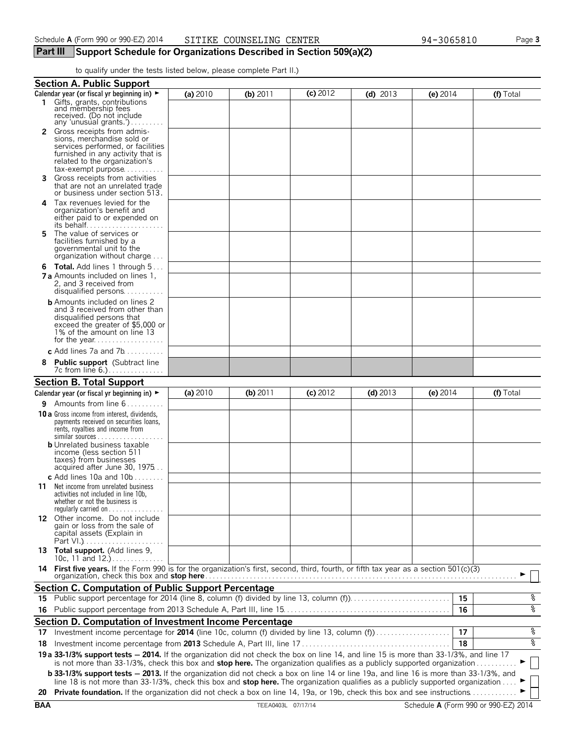### **Part III Support Schedule for Organizations Described in Section 509(a)(2)**

to qualify under the tests listed below, please complete Part II.)

|    | <b>Section A. Public Support</b>                                                                                                                                                                                                                                                                                                                                                                               |          |            |            |            |          |           |
|----|----------------------------------------------------------------------------------------------------------------------------------------------------------------------------------------------------------------------------------------------------------------------------------------------------------------------------------------------------------------------------------------------------------------|----------|------------|------------|------------|----------|-----------|
|    | Calendar year (or fiscal yr beginning in) $\blacktriangleright$                                                                                                                                                                                                                                                                                                                                                | (a) 2010 | (b) $2011$ | $(c)$ 2012 | (d) $2013$ | (e) 2014 | (f) Total |
| 1. | Gifts, grants, contributions<br>and membership fees<br>received. (Do not include<br>any 'unusual grants.')                                                                                                                                                                                                                                                                                                     |          |            |            |            |          |           |
|    | <b>2</b> Gross receipts from admis-<br>sions, merchandise sold or<br>services performed, or facilities<br>furnished in any activity that is<br>related to the organization's<br>$tax\text{-}exempt$ purpose                                                                                                                                                                                                    |          |            |            |            |          |           |
| 3. | Gross receipts from activities<br>that are not an unrelated trade<br>or business under section 513.                                                                                                                                                                                                                                                                                                            |          |            |            |            |          |           |
| 4  | Tax revenues levied for the<br>organization's benefit and<br>either paid to or expended on<br>its behalf                                                                                                                                                                                                                                                                                                       |          |            |            |            |          |           |
| 5. | The value of services or<br>facilities furnished by a<br>governmental unit to the<br>organization without charge                                                                                                                                                                                                                                                                                               |          |            |            |            |          |           |
|    | <b>6 Total.</b> Add lines 1 through 5<br><b>7 a</b> Amounts included on lines 1,<br>2, and 3 received from<br>disqualified persons                                                                                                                                                                                                                                                                             |          |            |            |            |          |           |
|    | <b>b</b> Amounts included on lines 2<br>and 3 received from other than<br>disqualified persons that<br>exceed the greater of \$5,000 or<br>1% of the amount on line 13                                                                                                                                                                                                                                         |          |            |            |            |          |           |
|    | c Add lines 7a and $7b$                                                                                                                                                                                                                                                                                                                                                                                        |          |            |            |            |          |           |
| 8  | <b>Public support</b> (Subtract line<br>7c from line 6.)                                                                                                                                                                                                                                                                                                                                                       |          |            |            |            |          |           |
|    | <b>Section B. Total Support</b>                                                                                                                                                                                                                                                                                                                                                                                |          |            |            |            |          |           |
|    | Calendar year (or fiscal yr beginning in) $\blacktriangleright$                                                                                                                                                                                                                                                                                                                                                | (a) 2010 | $(b)$ 2011 | $(c)$ 2012 | $(d)$ 2013 | (e) 2014 | (f) Total |
|    | <b>9</b> Amounts from line $6, \ldots, \ldots$                                                                                                                                                                                                                                                                                                                                                                 |          |            |            |            |          |           |
|    | 10 a Gross income from interest, dividends,<br>payments received on securities loans,<br>rents, royalties and income from<br>similar sources<br><b>b</b> Unrelated business taxable<br>income (less section 511<br>taxes) from businesses                                                                                                                                                                      |          |            |            |            |          |           |
|    | acquired after June 30, 1975                                                                                                                                                                                                                                                                                                                                                                                   |          |            |            |            |          |           |
| 11 | c Add lines 10a and $10b$<br>Net income from unrelated business<br>activities not included in line 10b,<br>whether or not the business is<br>regularly carried on $\dots\dots\dots\dots\dots$                                                                                                                                                                                                                  |          |            |            |            |          |           |
|    | 12 Other income. Do not include<br>gain or loss from the sale of<br>capital assets (Explain in                                                                                                                                                                                                                                                                                                                 |          |            |            |            |          |           |
|    | 13 Total support. (Add lines 9,<br>10c, 11 and $12.$ )                                                                                                                                                                                                                                                                                                                                                         |          |            |            |            |          |           |
|    | 14 First five years. If the Form 990 is for the organization's first, second, third, fourth, or fifth tax year as a section 501(c)(3)                                                                                                                                                                                                                                                                          |          |            |            |            |          |           |
|    | Section C. Computation of Public Support Percentage                                                                                                                                                                                                                                                                                                                                                            |          |            |            |            |          |           |
| 15 | Public support percentage for 2014 (line 8, column (f) divided by line 13, column (f))                                                                                                                                                                                                                                                                                                                         |          |            |            |            | 15       | ್ಠಿ       |
| 16 |                                                                                                                                                                                                                                                                                                                                                                                                                |          |            |            |            | 16       | နွ        |
|    | Section D. Computation of Investment Income Percentage                                                                                                                                                                                                                                                                                                                                                         |          |            |            |            |          |           |
| 17 | Investment income percentage for 2014 (line 10c, column (f) divided by line 13, column (f)                                                                                                                                                                                                                                                                                                                     |          |            |            |            | 17       | နွ        |
| 18 |                                                                                                                                                                                                                                                                                                                                                                                                                |          |            |            |            | 18       | နွ        |
|    | 19 a 33-1/3% support tests - 2014. If the organization did not check the box on line 14, and line 15 is more than 33-1/3%, and line 17<br>is not more than 33-1/3%, check this box and stop here. The organization qualifies as a publicly supported organization                                                                                                                                              |          |            |            |            |          |           |
|    | <b>b 33-1/3% support tests - 2013.</b> If the organization did not check a box on line 14 or line 19a, and line 16 is more than 33-1/3%, and<br>line 18 is not more than 33-1/3%, check this box and stop here. The organization qualifies as a publicly supported organization<br>20 Private foundation. If the organization did not check a box on line 14, 19a, or 19b, check this box and see instructions |          |            |            |            |          |           |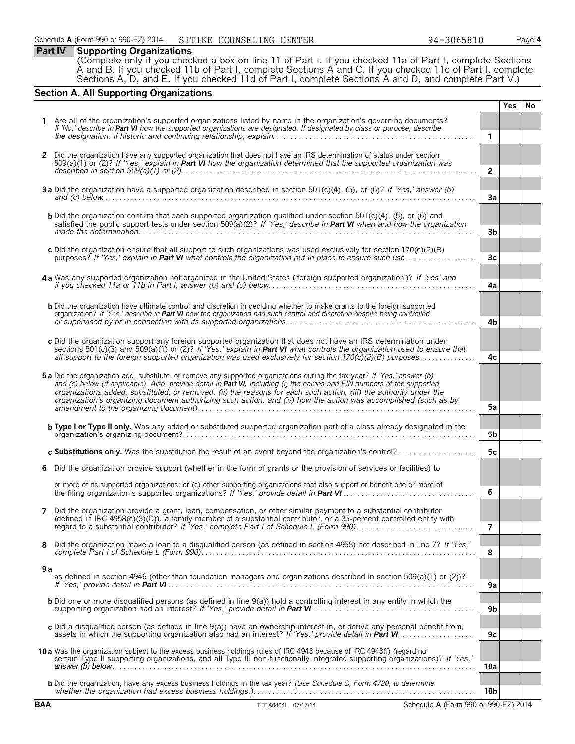|  |  | <b>Part IV</b> Supporting Organizations |
|--|--|-----------------------------------------|
|--|--|-----------------------------------------|

(Complete only if you checked a box on line 11 of Part I. If you checked 11a of Part I, complete Sections A and B. If you checked 11b of Part I, complete Sections A and C. If you checked 11c of Part I, complete Sections A, D, and E. If you checked 11d of Part I, complete Sections A and D, and complete Part V.)

#### **Section A. All Supporting Organizations**

|            |                                                                                                                                                                                                                                                                                                                                                                                                                                                                                                |                 | <b>Yes</b> | No |
|------------|------------------------------------------------------------------------------------------------------------------------------------------------------------------------------------------------------------------------------------------------------------------------------------------------------------------------------------------------------------------------------------------------------------------------------------------------------------------------------------------------|-----------------|------------|----|
|            | 1 Are all of the organization's supported organizations listed by name in the organization's governing documents?                                                                                                                                                                                                                                                                                                                                                                              |                 |            |    |
|            | If 'No,' describe in Part VI how the supported organizations are designated. If designated by class or purpose, describe                                                                                                                                                                                                                                                                                                                                                                       | $\mathbf{1}$    |            |    |
| 2          | Did the organization have any supported organization that does not have an IRS determination of status under section<br>509(a)(1) or (2)? If 'Yes,' explain in Part VI how the organization determined that the supported organization was                                                                                                                                                                                                                                                     | $\overline{2}$  |            |    |
|            | 3a Did the organization have a supported organization described in section 501(c)(4), (5), or (6)? If 'Yes,' answer (b)<br>and (c) below $\ldots$ $\ldots$ $\ldots$ $\ldots$ $\ldots$ $\ldots$ $\ldots$ $\ldots$ $\ldots$ $\ldots$ $\ldots$ $\ldots$ $\ldots$ $\ldots$ $\ldots$                                                                                                                                                                                                                | 3a              |            |    |
|            | <b>b</b> Did the organization confirm that each supported organization qualified under section 501 $(c)(4)$ , (5), or (6) and<br>satisfied the public support tests under section 509(a)(2)? If 'Yes,' describe in Part VI when and how the organization                                                                                                                                                                                                                                       | 3 <sub>b</sub>  |            |    |
|            | c Did the organization ensure that all support to such organizations was used exclusively for section $170(c)(2)(B)$<br>purposes? If 'Yes,' explain in <b>Part VI</b> what controls the organization put in place to ensure such use                                                                                                                                                                                                                                                           | 3 <sub>c</sub>  |            |    |
|            | 4a Was any supported organization not organized in the United States ('foreign supported organization')? If 'Yes' and                                                                                                                                                                                                                                                                                                                                                                          | 4a              |            |    |
|            | <b>b</b> Did the organization have ultimate control and discretion in deciding whether to make grants to the foreign supported<br>organization? If 'Yes,' describe in Part VI how the organization had such control and discretion despite being controlled                                                                                                                                                                                                                                    | 4b              |            |    |
|            | c Did the organization support any foreign supported organization that does not have an IRS determination under<br>sections 501(c)(3) and 509(a)(1) or (2)? If 'Yes,' explain in <b>Part VI</b> what controls the organization used to ensure that<br>all support to the foreign supported organization was used exclusively for section $170(c)(2)(B)$ purposes                                                                                                                               | 4с              |            |    |
|            | 5a Did the organization add, substitute, or remove any supported organizations during the tax year? If 'Yes,' answer (b)<br>and (c) below (if applicable). Also, provide detail in Part VI, including (i) the names and EIN numbers of the supported<br>organizations added, substituted, or removed, (ii) the reasons for each such action, (iii) the authority under the<br>organization's organizing document authorizing such action, and (iv) how the action was accomplished (such as by | 5a              |            |    |
|            | <b>b Type I or Type II only.</b> Was any added or substituted supported organization part of a class already designated in the                                                                                                                                                                                                                                                                                                                                                                 | 5b              |            |    |
|            | c Substitutions only. Was the substitution the result of an event beyond the organization's control?                                                                                                                                                                                                                                                                                                                                                                                           | 5c              |            |    |
| 6          | Did the organization provide support (whether in the form of grants or the provision of services or facilities) to                                                                                                                                                                                                                                                                                                                                                                             |                 |            |    |
|            | or more of its supported organizations; or (c) other supporting organizations that also support or benefit one or more of                                                                                                                                                                                                                                                                                                                                                                      | 6               |            |    |
| 7          | Did the organization provide a grant, loan, compensation, or other similar payment to a substantial contributor<br>(defined in IRC 4958(c)(3)(C)), a family member of a substantial contributor, or a 35-percent controlled entity with<br>regard to a substantial contributor? If 'Yes,' complete Part I of Schedule L (Form 990)                                                                                                                                                             | 7               |            |    |
| 8          | Did the organization make a loan to a disqualified person (as defined in section 4958) not described in line 7? If 'Yes,'                                                                                                                                                                                                                                                                                                                                                                      | 8               |            |    |
| 9 a        | as defined in section 4946 (other than foundation managers and organizations described in section 509(a)(1) or (2))?                                                                                                                                                                                                                                                                                                                                                                           | 9a              |            |    |
|            | <b>b</b> Did one or more disqualified persons (as defined in line 9(a)) hold a controlling interest in any entity in which the                                                                                                                                                                                                                                                                                                                                                                 | 9b              |            |    |
|            | c Did a disqualified person (as defined in line 9(a)) have an ownership interest in, or derive any personal benefit from,                                                                                                                                                                                                                                                                                                                                                                      | 9c              |            |    |
|            | 10 a Was the organization subject to the excess business holdings rules of IRC 4943 because of IRC 4943(f) (regarding<br>certain Type II supporting organizations, and all Type III non-functionally integrated supporting organizations)? If 'Yes,'                                                                                                                                                                                                                                           | 10a             |            |    |
|            | <b>b</b> Did the organization, have any excess business holdings in the tax year? (Use Schedule C, Form 4720, to determine                                                                                                                                                                                                                                                                                                                                                                     | 10 <sub>b</sub> |            |    |
| <b>BAA</b> | TEEA0404L 07/17/14<br>Schedule A (Form 990 or 990-EZ) 2014                                                                                                                                                                                                                                                                                                                                                                                                                                     |                 |            |    |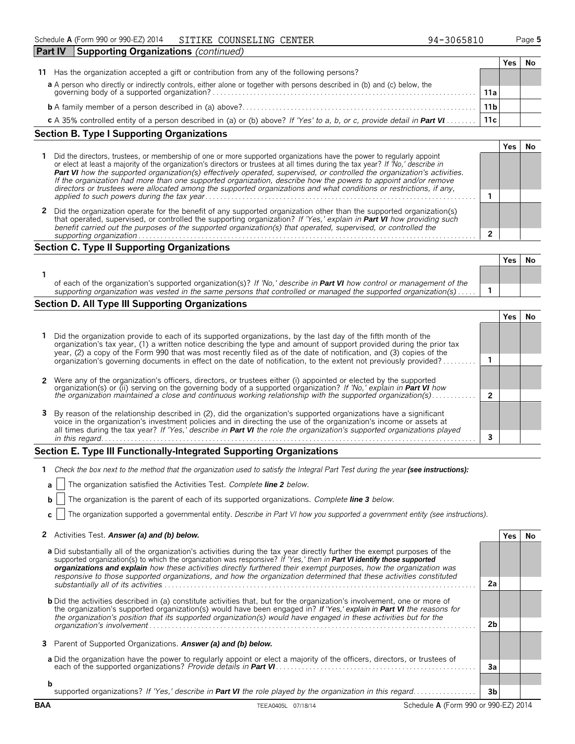| <b>Part IV</b> | Supporting Organizations (continued)                                                                                                                                  |             |       |  |
|----------------|-----------------------------------------------------------------------------------------------------------------------------------------------------------------------|-------------|-------|--|
|                |                                                                                                                                                                       |             | res ( |  |
| 11             | Has the organization accepted a gift or contribution from any of the following persons?                                                                               |             |       |  |
|                |                                                                                                                                                                       |             |       |  |
|                | a A person who directly or indirectly controls, either alone or together with persons described in (b) and (c) below, the governing body of a supported organization? | 11a         |       |  |
|                |                                                                                                                                                                       | 11 <b>b</b> |       |  |
|                | c A 35% controlled entity of a person described in (a) or (b) above? If 'Yes' to a, b, or c, provide detail in Part VI                                                | 11c         |       |  |

#### **Section B. Type I Supporting Organizations 1** Did the directors, trustees, or membership of one or more supported organizations have the power to regularly appoint or elect at least a majority of the organization's directors or trustees at all times during the tax year? *If 'No,' describe in Part VI how the supported organization(s) effectively operated, supervised, or controlled the organization's activities. If the organization had more than one supported organization, describe how the powers to appoint and/or remove directors or trustees were allocated among the supported organizations and what conditions or restrictions, if any, applied to such powers during the tax year*. . . . . . . . . . . . . . . . . . . . . . . . . . . . . . . . . . . . . . . . . . . . . . . . . . . . . . . . . . . . . . . . . . . . . . . . . **1**

**2** Did the organization operate for the benefit of any supported organization other than the supported organization(s) that operated, supervised, or controlled the supporting organization? *If 'Yes,' explain in Part VI how providing such benefit carried out the purposes of the supported organization(s) that operated, supervised, or controlled the supporting organization*. . . . . . . . . . . . . . . . . . . . . . . . . . . . . . . . . . . . . . . . . . . . . . . . . . . . . . . . . . . . . . . . . . . . . . . . . . . . . . . . . . . . . . . . . . . . **2**

#### **Section C. Type II Supporting Organizations**

|                                                                                                                                                                                                                                                  | Yes |  |
|--------------------------------------------------------------------------------------------------------------------------------------------------------------------------------------------------------------------------------------------------|-----|--|
|                                                                                                                                                                                                                                                  |     |  |
| of each of the organization's supported organization(s)? If 'No,' describe in <b>Part VI</b> how control or management of the<br>supporting organization was vested in the same persons that controlled or managed the supported organization(s) |     |  |

#### **Section D. All Type III Supporting Organizations**

|                                                                                                                                                                                                                                                                                                                                                                  |  | ٬ρς |  |
|------------------------------------------------------------------------------------------------------------------------------------------------------------------------------------------------------------------------------------------------------------------------------------------------------------------------------------------------------------------|--|-----|--|
| 1 Did the organization provide to each of its supported organizations, by the last day of the fifth month of the<br>organization's tax year, (1) a written notice describing the type and amount of support provided during the prior tax<br>year, (2) a copy of the Form 990 that was most recently filed as of the date of notification, and (3) copies of the |  |     |  |
| organization's governing documents in effect on the date of notification, to the extent not previously provided?                                                                                                                                                                                                                                                 |  |     |  |
|                                                                                                                                                                                                                                                                                                                                                                  |  |     |  |
| 2 Were any of the organization's officers, directors, or trustees either (i) appointed or elected by the supported<br>organization(s) or (ii) serving on the governing body of a supported organization? If No, explain in Part VI how                                                                                                                           |  |     |  |
| the organization maintained a close and continuous working relationship with the supported organization(s)                                                                                                                                                                                                                                                       |  |     |  |
| 3 By reason of the relationship described in (2), did the organization's supported organizations have a significant<br>voice in the organization's investment policies and in directing the use of the organization's income or assets at                                                                                                                        |  |     |  |
| all times during the tax year? If 'Yes,' describe in Part VI the role the organization's supported organizations played<br>in this regard.                                                                                                                                                                                                                       |  |     |  |

#### **Section E. Type III Functionally-Integrated Supporting Organizations**

|  |  | 1 Check the box next to the method that the organization used to satisfy the Integral Part Test during the year (see instructions): |  |  |  |  |
|--|--|-------------------------------------------------------------------------------------------------------------------------------------|--|--|--|--|
|--|--|-------------------------------------------------------------------------------------------------------------------------------------|--|--|--|--|

|  | <b>a</b>     The organization satisfied the Activities Test. Complete line 2 below. |  |  |
|--|-------------------------------------------------------------------------------------|--|--|
|  |                                                                                     |  |  |

**b** The organization is the parent of each of its supported organizations. *Complete line 3 below.* 

**c** The organization supported a governmental entity. *Describe in Part VI how you supported a government entity (see instructions).*

|  | 2 Activities Test. Answer (a) and (b) below. | Yes No |  |
|--|----------------------------------------------|--------|--|
|--|----------------------------------------------|--------|--|

|   | a Did substantially all of the organization's activities during the tax year directly further the exempt purposes of the<br>supported organization(s) to which the organization was responsive? If 'Yes,' then in Part VI identify those supported<br>organizations and explain how these activities directly furthered their exempt purposes, how the organization was<br>responsive to those supported organizations, and how the organization determined that these activities constituted |                |  |
|---|-----------------------------------------------------------------------------------------------------------------------------------------------------------------------------------------------------------------------------------------------------------------------------------------------------------------------------------------------------------------------------------------------------------------------------------------------------------------------------------------------|----------------|--|
|   |                                                                                                                                                                                                                                                                                                                                                                                                                                                                                               | 2a             |  |
|   | <b>b</b> Did the activities described in (a) constitute activities that, but for the organization's involvement, one or more of<br>the organization's supported organization(s) would have been engaged in? If 'Yes,' explain in <b>Part VI</b> the reasons for<br>the organization's position that its supported organization(s) would have engaged in these activities but for the                                                                                                          |                |  |
|   |                                                                                                                                                                                                                                                                                                                                                                                                                                                                                               | 2 <sub>b</sub> |  |
|   | 3 Parent of Supported Organizations. Answer (a) and (b) below.                                                                                                                                                                                                                                                                                                                                                                                                                                |                |  |
|   | a Did the organization have the power to regularly appoint or elect a majority of the officers, directors, or trustees of                                                                                                                                                                                                                                                                                                                                                                     | 3a             |  |
| b |                                                                                                                                                                                                                                                                                                                                                                                                                                                                                               |                |  |
|   | supported organizations? If 'Yes,' describe in Part VI the role played by the organization in this regard                                                                                                                                                                                                                                                                                                                                                                                     | 3b             |  |

**BAA** TEEA0405L 07/18/14 Schedule **A** (Form 990 or 990-EZ) 2014

**Yes No**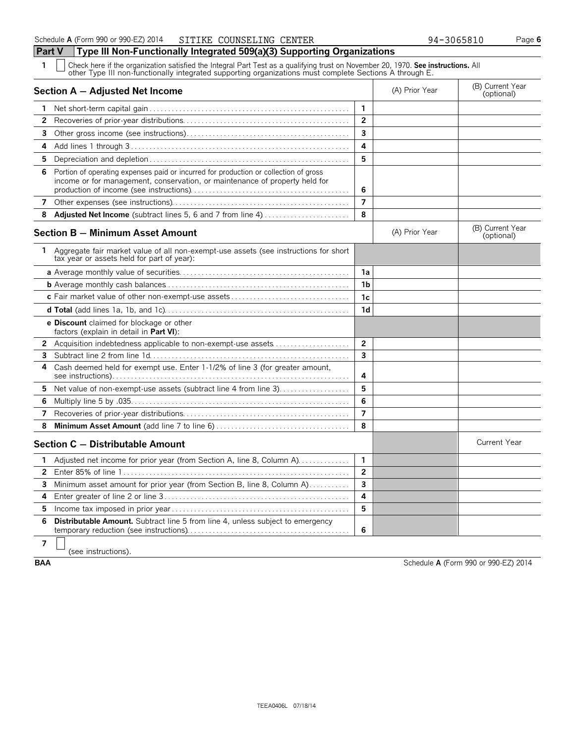**Part V Type III Non-Functionally Integrated 509(a)(3) Supporting Organizations**

**1** Check here if the organization satisfied the Integral Part Test as a qualifying trust on November 20, 1970. **See instructions.** All other Type III non-functionally integrated supporting organizations must complete Sections A through E. **Section A – Adjusted Net Income** (B) Current Year (B) Current Year (B) Current Year (B) Current Year (Optional) **1** Net short-term capital gain . . . . . . . . . . . . . . . . . . . . . . . . . . . . . . . . . . . . . . . . . . . . . . . . . . . . . . **1 2** Recoveries of prior-year distributions. . . . . . . . . . . . . . . . . . . . . . . . . . . . . . . . . . . . . . . . . . . . . **2**

| 2            |                                                                                                                                                                     | 2              |                |                                |
|--------------|---------------------------------------------------------------------------------------------------------------------------------------------------------------------|----------------|----------------|--------------------------------|
| 3.           |                                                                                                                                                                     | 3              |                |                                |
| 4            |                                                                                                                                                                     | 4              |                |                                |
| 5.           |                                                                                                                                                                     | 5              |                |                                |
| 6            | Portion of operating expenses paid or incurred for production or collection of gross<br>income or for management, conservation, or maintenance of property held for | 6              |                |                                |
| 7            |                                                                                                                                                                     | $\overline{7}$ |                |                                |
| 8            | Adjusted Net Income (subtract lines 5, 6 and 7 from line 4)                                                                                                         | 8              |                |                                |
|              | <b>Section B - Minimum Asset Amount</b>                                                                                                                             |                | (A) Prior Year | (B) Current Year<br>(optional) |
| 1.           | Aggregate fair market value of all non-exempt-use assets (see instructions for short<br>tax year or assets held for part of year):                                  |                |                |                                |
|              |                                                                                                                                                                     | 1a             |                |                                |
|              |                                                                                                                                                                     | 1 <sub>b</sub> |                |                                |
|              |                                                                                                                                                                     | 1c             |                |                                |
|              |                                                                                                                                                                     | 1 <sub>d</sub> |                |                                |
|              | e Discount claimed for blockage or other<br>factors (explain in detail in Part VI):                                                                                 |                |                |                                |
|              | 2 Acquisition indebtedness applicable to non-exempt-use assets                                                                                                      | $\overline{2}$ |                |                                |
| 3            |                                                                                                                                                                     | 3              |                |                                |
| 4            | Cash deemed held for exempt use. Enter 1-1/2% of line 3 (for greater amount,                                                                                        | 4              |                |                                |
| 5.           | Net value of non-exempt-use assets (subtract line 4 from line 3)                                                                                                    | 5              |                |                                |
| 6            |                                                                                                                                                                     | 6              |                |                                |
| 7            |                                                                                                                                                                     | $\overline{7}$ |                |                                |
| 8            |                                                                                                                                                                     | 8              |                |                                |
|              | Section C - Distributable Amount                                                                                                                                    |                |                | <b>Current Year</b>            |
| 1.           | Adjusted net income for prior year (from Section A, line 8, Column A)                                                                                               | $\mathbf{1}$   |                |                                |
| $\mathbf{2}$ |                                                                                                                                                                     | $\overline{2}$ |                |                                |
| 3.           | Minimum asset amount for prior year (from Section B, line 8, Column A)                                                                                              | 3              |                |                                |
| 4            |                                                                                                                                                                     | 4              |                |                                |
| 5.           |                                                                                                                                                                     | 5              |                |                                |
| 6            | <b>Distributable Amount.</b> Subtract line 5 from line 4, unless subject to emergency                                                                               | 6              |                |                                |
| 7            |                                                                                                                                                                     |                |                |                                |

 $\Box$ (see instructions).

**BAA** Schedule **A** (Form 990 or 990-EZ) 2014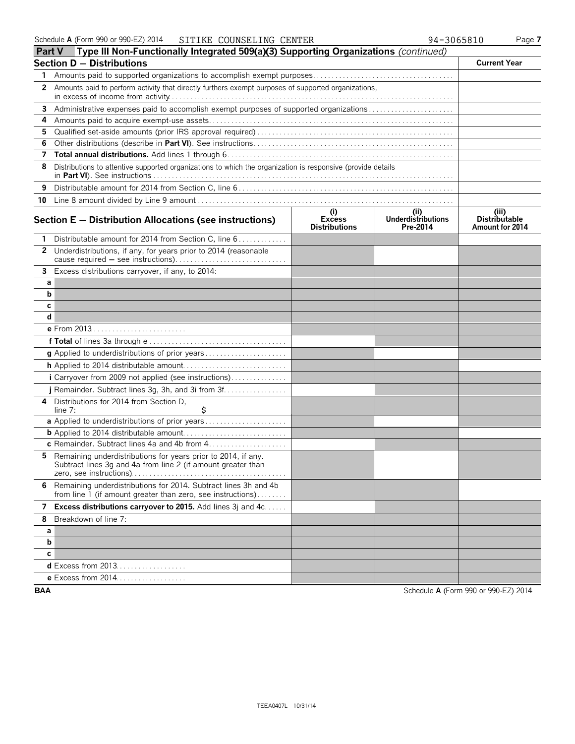| Part V | Type III Non-Functionally Integrated 509(a)(3) Supporting Organizations (continued)                                                                                           |                                              |                                              |                                                  |
|--------|-------------------------------------------------------------------------------------------------------------------------------------------------------------------------------|----------------------------------------------|----------------------------------------------|--------------------------------------------------|
|        | <b>Section D - Distributions</b>                                                                                                                                              |                                              |                                              | <b>Current Year</b>                              |
| 1.     |                                                                                                                                                                               |                                              |                                              |                                                  |
|        | 2 Amounts paid to perform activity that directly furthers exempt purposes of supported organizations,                                                                         |                                              |                                              |                                                  |
| 3      | Administrative expenses paid to accomplish exempt purposes of supported organizations                                                                                         |                                              |                                              |                                                  |
| 4      |                                                                                                                                                                               |                                              |                                              |                                                  |
| 5.     |                                                                                                                                                                               |                                              |                                              |                                                  |
| 6      |                                                                                                                                                                               |                                              |                                              |                                                  |
| 7      |                                                                                                                                                                               |                                              |                                              |                                                  |
| 8      | Distributions to attentive supported organizations to which the organization is responsive (provide details                                                                   |                                              |                                              |                                                  |
| 9      |                                                                                                                                                                               |                                              |                                              |                                                  |
| 10     |                                                                                                                                                                               |                                              |                                              |                                                  |
|        | Section $E -$ Distribution Allocations (see instructions)                                                                                                                     | (i)<br><b>Excess</b><br><b>Distributions</b> | (i)<br><b>Underdistributions</b><br>Pre-2014 | (iii)<br><b>Distributable</b><br>Amount for 2014 |
| 1.     | Distributable amount for 2014 from Section C, line 6                                                                                                                          |                                              |                                              |                                                  |
| 2      | Underdistributions, if any, for years prior to 2014 (reasonable                                                                                                               |                                              |                                              |                                                  |
|        | 3 Excess distributions carryover, if any, to 2014:                                                                                                                            |                                              |                                              |                                                  |
| a      |                                                                                                                                                                               |                                              |                                              |                                                  |
| b      |                                                                                                                                                                               |                                              |                                              |                                                  |
| с      |                                                                                                                                                                               |                                              |                                              |                                                  |
| d      |                                                                                                                                                                               |                                              |                                              |                                                  |
|        | e From 2013                                                                                                                                                                   |                                              |                                              |                                                  |
|        |                                                                                                                                                                               |                                              |                                              |                                                  |
|        |                                                                                                                                                                               |                                              |                                              |                                                  |
|        |                                                                                                                                                                               |                                              |                                              |                                                  |
|        | i Carryover from 2009 not applied (see instructions)                                                                                                                          |                                              |                                              |                                                  |
|        | j Remainder. Subtract lines 3g, 3h, and 3i from 3f                                                                                                                            |                                              |                                              |                                                  |
| 4      | Distributions for 2014 from Section D,                                                                                                                                        |                                              |                                              |                                                  |
|        | \$<br>line 7:                                                                                                                                                                 |                                              |                                              |                                                  |
|        |                                                                                                                                                                               |                                              |                                              |                                                  |
|        |                                                                                                                                                                               |                                              |                                              |                                                  |
| 5.     | c Remainder. Subtract lines 4a and 4b from 4<br>Remaining underdistributions for years prior to 2014, if any.<br>Subtract lines 3g and 4a from line 2 (if amount greater than |                                              |                                              |                                                  |
|        | 6 Remaining underdistributions for 2014. Subtract lines 3h and 4b<br>from line 1 (if amount greater than zero, see instructions)                                              |                                              |                                              |                                                  |
|        | 7 Excess distributions carryover to 2015. Add lines 3j and 4c                                                                                                                 |                                              |                                              |                                                  |
| 8      | Breakdown of line 7:                                                                                                                                                          |                                              |                                              |                                                  |
| a      |                                                                                                                                                                               |                                              |                                              |                                                  |
| b      |                                                                                                                                                                               |                                              |                                              |                                                  |
| c      |                                                                                                                                                                               |                                              |                                              |                                                  |
|        | <b>d</b> Excess from 2013                                                                                                                                                     |                                              |                                              |                                                  |
|        | e Excess from 2014                                                                                                                                                            |                                              |                                              |                                                  |
|        |                                                                                                                                                                               |                                              |                                              |                                                  |

**BAA** Schedule **A** (Form 990 or 990-EZ) 2014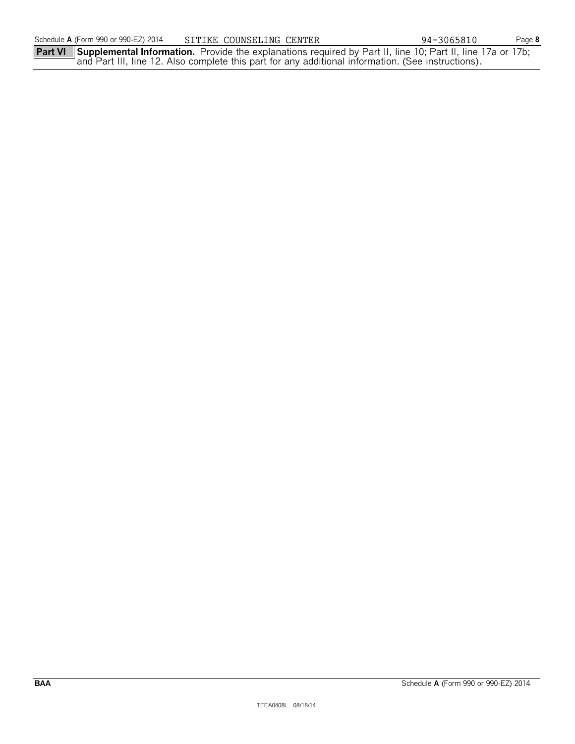**Part VI Supplemental Information.** Provide the explanations required by Part II, line 10; Part II, line 17a or 17b; and Part III, line 12. Also complete this part for any additional information. (See instructions).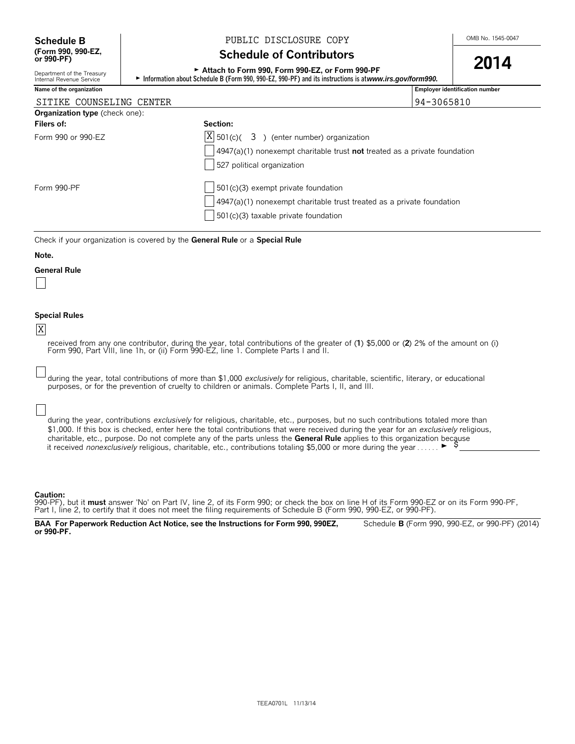Department of the Treasury<br>Internal Revenue Service

#### **Schedule B**  $\begin{array}{c|c|c|c|c} & & & \text{PUBLIC DISCLOSURE COPY} \end{array}$

#### **Schedule of Contributors**

## <sup>G</sup>**Attach to Form 990, Form 990-EZ, or Form 990-PF 2014**

► Information about Schedule B (Form 990, 990-EZ, 990-PF) and its instructions is at *www.irs.gov/form990.* 

| Name of the organization              |                                                                                                                                                                        | <b>Employer identification number</b> |
|---------------------------------------|------------------------------------------------------------------------------------------------------------------------------------------------------------------------|---------------------------------------|
| SITIKE COUNSELING CENTER              |                                                                                                                                                                        | 94-3065810                            |
| <b>Organization type</b> (check one): |                                                                                                                                                                        |                                       |
| Filers of:                            | Section:                                                                                                                                                               |                                       |
| Form 990 or 990-EZ                    | $ X $ 501(c)( 3) (enter number) organization<br>$\vert$ 4947(a)(1) nonexempt charitable trust <b>not</b> treated as a private foundation<br>527 political organization |                                       |
| Form 990-PF                           | $501(c)(3)$ exempt private foundation<br>$4947(a)(1)$ nonexempt charitable trust treated as a private foundation<br>$501(c)(3)$ taxable private foundation             |                                       |

Check if your organization is covered by the **General Rule** or a **Special Rule**

#### **Note.**

#### **General Rule**

#### **Special Rules**

#### X

received from any one contributor, during the year, total contributions of the greater of (1) \$5,000 or (**2**) 2% of the amount on (i)<br>Form 990, Part VIII, line 1h, or (ii) Form 990-EZ, line 1. Complete Parts I and II.

during the year, total contributions of more than \$1,000 *exclusively* for religious, charitable, scientific, literary, or educational purposes, or for the prevention of cruelty to children or animals. Complete Parts I, II, and III.

during the year, contributions *exclusively* for religious, charitable, etc., purposes, but no such contributions totaled more than \$1,000. If this box is checked, enter here the total contributions that were received during the year for an *exclusively* religious, charitable, etc., purpose. Do not complete any of the parts unless the **General Rule** applies to this organization because it received *nonexclusively* religious, charitable, etc., contributions totaling \$5,000 or more during the year . . . . . .  $\blacktriangleright$ 

#### **Caution:**

990-PF), but it **must** answer 'No' on Part IV, line 2, of its Form 990; or check the box on line H of its Form 990-EZ or on its Form 990-PF, Part I, line 2, to certify that it does not meet the filing requirements of Schedule B (Form 990, 990-EZ, or 990-PF).

**BAA For Paperwork Reduction Act Notice, see the Instructions for Form 990, 990EZ,** Schedule **B** (Form 990, 990-EZ, or 990-PF) (2014) **or 990-PF.**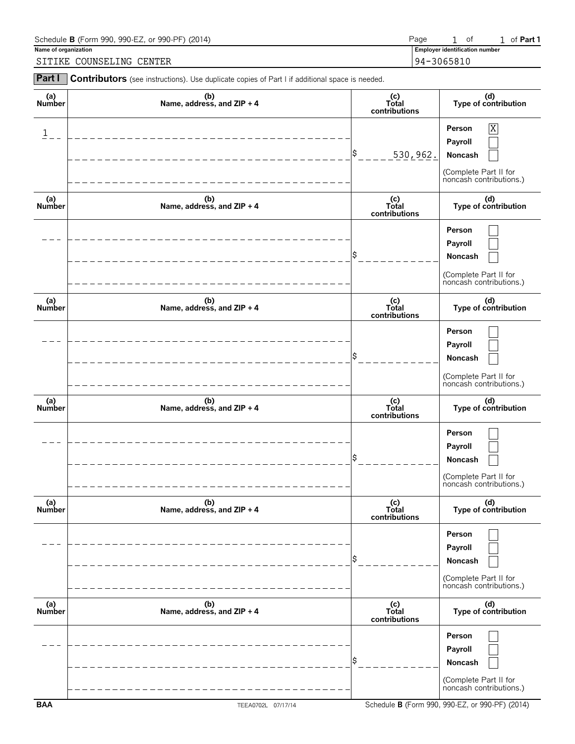| Schedule <b>B</b> (Form 990, 990-EZ, or 990-PF) (2014) | Page       | 0Ť                                    | of <b>Part</b> |
|--------------------------------------------------------|------------|---------------------------------------|----------------|
| Name of organization                                   |            | <b>Employer identification number</b> |                |
| SITIKE COUNSELING CENTER                               | 94-3065810 |                                       |                |

| Part I               | Contributors (see instructions). Use duplicate copies of Part I if additional space is needed. |                                 |                                                                                                           |
|----------------------|------------------------------------------------------------------------------------------------|---------------------------------|-----------------------------------------------------------------------------------------------------------|
| (a)<br>Number        | (b)<br>Name, address, and ZIP + 4                                                              | (c)<br>Total<br>contributions   | (d)<br>Type of contribution                                                                               |
| $\mathbf{1}$         |                                                                                                | \$<br>530,962.                  | $\overline{\text{X}}$<br>Person<br>Payroll<br>Noncash<br>(Complete Part II for<br>noncash contributions.) |
| (a)<br>Number        | (b)<br>Name, address, and ZIP + 4                                                              | (c)<br>Total<br>contributions   | (d)<br>Type of contribution                                                                               |
|                      |                                                                                                |                                 | Person<br>Payroll<br>Noncash<br>(Complete Part II for<br>noncash contributions.)                          |
| (a)<br><b>Number</b> | (b)<br>Name, address, and ZIP + 4                                                              | (c)<br>Total<br>contributions   | (d)<br>Type of contribution                                                                               |
|                      |                                                                                                |                                 | Person<br>Payroll<br>Noncash<br>(Complete Part II for<br>noncash contributions.)                          |
| (a)<br>Number        | (b)<br>Name, address, and ZIP + 4                                                              | $(c)$<br>Total<br>contributions | (d)<br>Type of contribution                                                                               |
|                      |                                                                                                |                                 | Person<br>Payroll<br>Noncash<br>(Complete Part II for<br>noncash contributions.)                          |
| (a)<br>Number        | (b)<br>Name, address, and ZIP + 4                                                              | (c)<br>Total<br>contributions   | (d)<br>Type of contribution                                                                               |
|                      |                                                                                                |                                 | Person<br>Payroll<br>Noncash<br>(Complete Part II for<br>noncash contributions.)                          |
| (a)<br>Number        | (b)<br>Name, address, and ZIP + 4                                                              | (c)<br>Total<br>contributions   | (d)<br>Type of contribution                                                                               |
|                      |                                                                                                |                                 | Person<br>Payroll<br>Noncash<br>(Complete Part II for<br>noncash contributions.)                          |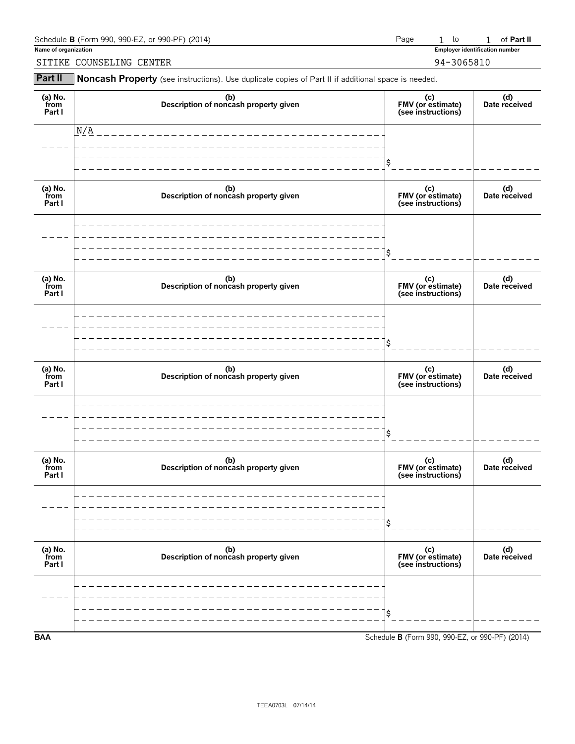| Schedule <b>B</b> (Form 990, 990-EZ, or 990-PF) (2014) | Page | to                                    | of <b>Part II</b> |
|--------------------------------------------------------|------|---------------------------------------|-------------------|
| Name of organization                                   |      | <b>Employer identification number</b> |                   |
| COUNSELING CENTER<br>SITIKE                            |      | 94-3065810                            |                   |

**Part II** Noncash Property (see instructions). Use duplicate copies of Part II if additional space is needed.

| (a) No.<br>from<br>Part I | (b)<br>Description of noncash property given | (c)<br>FMV (or estimate)<br>(see instructions)  | (d)<br>Date received |
|---------------------------|----------------------------------------------|-------------------------------------------------|----------------------|
|                           | N/A                                          |                                                 |                      |
|                           |                                              |                                                 |                      |
| (a) No.<br>from<br>Part I | (b)<br>Description of noncash property given | (c)<br>FMV (or estimate)<br>(see instructions)  | (d)<br>Date received |
|                           |                                              |                                                 |                      |
|                           |                                              |                                                 |                      |
| (a) No.<br>from<br>Part I | (b)<br>Description of noncash property given | (c)<br>FMV (or estimate)<br>(see instructions)  | (d)<br>Date received |
|                           |                                              |                                                 |                      |
|                           |                                              |                                                 |                      |
| (a) No.<br>from<br>Part I | (b)<br>Description of noncash property given | (c)<br>FMV (or estimate)<br>(see instructions)  | (d)<br>Date received |
|                           |                                              |                                                 |                      |
|                           |                                              |                                                 |                      |
| (a) No.<br>from<br>Part I | (b)<br>Description of noncash property given | (c)<br>FMV (or estimate)<br>(see instructions)  | (d)<br>Date received |
|                           |                                              |                                                 |                      |
|                           |                                              |                                                 |                      |
| (a) No.<br>from<br>Part I | (b)<br>Description of noncash property given | (c)<br>FMV (or estimate)<br>(see instructions)  | (d)<br>Date received |
|                           |                                              |                                                 |                      |
|                           |                                              |                                                 |                      |
| <b>BAA</b>                |                                              | Schedule B (Form 990, 990-EZ, or 990-PF) (2014) |                      |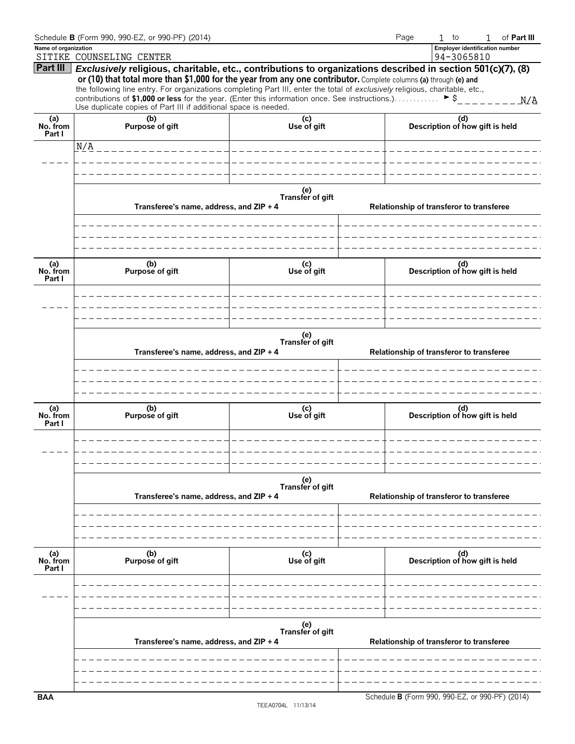|                           | Schedule B (Form 990, 990-EZ, or 990-PF) (2014)                                                                                                                                                                                                                                                                                                                                                                                                                                                                                                     |                         |  | Page                                     | $1$ to                                                                                                                                                                                                                                                                                                                                | of Part III<br>$\mathbf{1}$                     |  |  |
|---------------------------|-----------------------------------------------------------------------------------------------------------------------------------------------------------------------------------------------------------------------------------------------------------------------------------------------------------------------------------------------------------------------------------------------------------------------------------------------------------------------------------------------------------------------------------------------------|-------------------------|--|------------------------------------------|---------------------------------------------------------------------------------------------------------------------------------------------------------------------------------------------------------------------------------------------------------------------------------------------------------------------------------------|-------------------------------------------------|--|--|
| Name of organization      | SITIKE COUNSELING CENTER                                                                                                                                                                                                                                                                                                                                                                                                                                                                                                                            |                         |  |                                          |                                                                                                                                                                                                                                                                                                                                       |                                                 |  |  |
|                           | Part III Exclusively religious, charitable, etc., contributions to organizations described in section 501(c)(7), (8)<br>or (10) that total more than \$1,000 for the year from any one contributor. Complete columns (a) through (e) and<br>the following line entry. For organizations completing Part III, enter the total of exclusively religious, charitable, etc.,<br>contributions of \$1,000 or less for the year. (Enter this information once. See instructions.) > \$<br>Use duplicate copies of Part III if additional space is needed. |                         |  |                                          |                                                                                                                                                                                                                                                                                                                                       |                                                 |  |  |
| (a)<br>No. from<br>Part I | (b)<br>Purpose of gift                                                                                                                                                                                                                                                                                                                                                                                                                                                                                                                              | (c)<br>Use of gift      |  |                                          |                                                                                                                                                                                                                                                                                                                                       |                                                 |  |  |
|                           | N/A                                                                                                                                                                                                                                                                                                                                                                                                                                                                                                                                                 |                         |  |                                          |                                                                                                                                                                                                                                                                                                                                       |                                                 |  |  |
|                           |                                                                                                                                                                                                                                                                                                                                                                                                                                                                                                                                                     |                         |  |                                          |                                                                                                                                                                                                                                                                                                                                       |                                                 |  |  |
|                           |                                                                                                                                                                                                                                                                                                                                                                                                                                                                                                                                                     |                         |  |                                          |                                                                                                                                                                                                                                                                                                                                       |                                                 |  |  |
|                           | Transferee's name, address, and ZIP + 4                                                                                                                                                                                                                                                                                                                                                                                                                                                                                                             | (e)<br>Transfer of gift |  |                                          | <b>Employer identification number</b><br>94-3065810<br>(d)<br>Description of how gift is held<br>Relationship of transferor to transferee<br>______________<br>(d)<br>Description of how gift is held<br>Relationship of transferor to transferee<br>(d)<br>Description of how gift is held<br>(d)<br>Description of how gift is held |                                                 |  |  |
|                           |                                                                                                                                                                                                                                                                                                                                                                                                                                                                                                                                                     |                         |  |                                          |                                                                                                                                                                                                                                                                                                                                       |                                                 |  |  |
| (a)<br>No. from<br>Part I | (b)<br>Purpose of gift                                                                                                                                                                                                                                                                                                                                                                                                                                                                                                                              | (c)<br>Use of gift      |  |                                          |                                                                                                                                                                                                                                                                                                                                       |                                                 |  |  |
|                           | Transferee's name, address, and ZIP + 4                                                                                                                                                                                                                                                                                                                                                                                                                                                                                                             | (e)<br>Transfer of gift |  |                                          |                                                                                                                                                                                                                                                                                                                                       |                                                 |  |  |
|                           |                                                                                                                                                                                                                                                                                                                                                                                                                                                                                                                                                     |                         |  |                                          |                                                                                                                                                                                                                                                                                                                                       |                                                 |  |  |
| (a)<br>No. from<br>Part I | (b)<br>Purpose of gift                                                                                                                                                                                                                                                                                                                                                                                                                                                                                                                              | (c)<br>Use of gift      |  |                                          |                                                                                                                                                                                                                                                                                                                                       |                                                 |  |  |
|                           |                                                                                                                                                                                                                                                                                                                                                                                                                                                                                                                                                     |                         |  |                                          |                                                                                                                                                                                                                                                                                                                                       |                                                 |  |  |
|                           | Transferee's name, address, and ZIP + 4                                                                                                                                                                                                                                                                                                                                                                                                                                                                                                             | (e)<br>Transfer of gift |  | Relationship of transferor to transferee |                                                                                                                                                                                                                                                                                                                                       |                                                 |  |  |
|                           |                                                                                                                                                                                                                                                                                                                                                                                                                                                                                                                                                     |                         |  |                                          |                                                                                                                                                                                                                                                                                                                                       |                                                 |  |  |
| (a)<br>No. from<br>Part I | (b)<br>Purpose of gift                                                                                                                                                                                                                                                                                                                                                                                                                                                                                                                              | (c)<br>Use of gift      |  |                                          |                                                                                                                                                                                                                                                                                                                                       |                                                 |  |  |
|                           |                                                                                                                                                                                                                                                                                                                                                                                                                                                                                                                                                     |                         |  |                                          |                                                                                                                                                                                                                                                                                                                                       |                                                 |  |  |
|                           | (e)<br>Transfer of gift<br>Transferee's name, address, and ZIP + 4                                                                                                                                                                                                                                                                                                                                                                                                                                                                                  |                         |  | Relationship of transferor to transferee |                                                                                                                                                                                                                                                                                                                                       |                                                 |  |  |
| <b>BAA</b>                |                                                                                                                                                                                                                                                                                                                                                                                                                                                                                                                                                     |                         |  |                                          |                                                                                                                                                                                                                                                                                                                                       | Schedule B (Form 990, 990-EZ, or 990-PF) (2014) |  |  |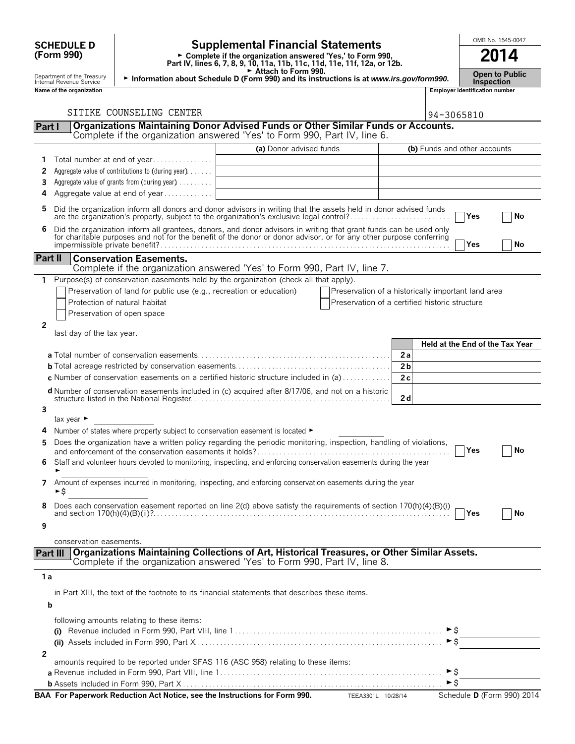# **(Form 990)**

### **SCHEDULE D**  $\begin{bmatrix} 0 \end{bmatrix}$  **Supplemental Financial Statements**  $\begin{bmatrix} 0 \end{bmatrix}$   $\begin{bmatrix} 0 \end{bmatrix}$   $\begin{bmatrix} 0 \end{bmatrix}$

**Part IV, lines 6, 7, 8, 9, 10, 11a, 11b, 11c, 11d, 11e, 11f, 12a, or 12b.**<br>
Part IV, lines 6, 7, 8, 9, 10, 11a, 11b, 11c, 11d, 11e, 11f, 12a, or 12b.

G **Attach to Form 990.** Department of the Treasury **Open to Public** <sup>G</sup> **Information about Schedule D (Form 990) and its instructions is at** *www.irs.gov/form990.* Internal Revenue Service **Inspection Nation by Comment of the Treasury internal Revenue Service Extraction about Schedule D (Form 990) and its instructions is at www.irs.gov/form 990.<br>Name of the organization number<br>Name of the organization number<br>Inspect** 

|         | SITIKE COUNSELING CENTER                                                                                                                                                                                                       |                         |                                                    |                |                              | 94-3065810   |                                 |
|---------|--------------------------------------------------------------------------------------------------------------------------------------------------------------------------------------------------------------------------------|-------------------------|----------------------------------------------------|----------------|------------------------------|--------------|---------------------------------|
| Part I  | Organizations Maintaining Donor Advised Funds or Other Similar Funds or Accounts.                                                                                                                                              |                         |                                                    |                |                              |              |                                 |
|         | Complete if the organization answered 'Yes' to Form 990, Part IV, line 6.                                                                                                                                                      |                         |                                                    |                |                              |              |                                 |
|         |                                                                                                                                                                                                                                | (a) Donor advised funds |                                                    |                | (b) Funds and other accounts |              |                                 |
| 1.      | Total number at end of year                                                                                                                                                                                                    |                         |                                                    |                |                              |              |                                 |
| 2       | Aggregate value of contributions to (during year)                                                                                                                                                                              |                         |                                                    |                |                              |              |                                 |
| 3       | Aggregate value of grants from (during year)                                                                                                                                                                                   |                         |                                                    |                |                              |              |                                 |
| 4       | Aggregate value at end of year                                                                                                                                                                                                 |                         |                                                    |                |                              |              |                                 |
| 5       | Did the organization inform all donors and donor advisors in writing that the assets held in donor advised funds<br>are the organization's property, subject to the organization's exclusive legal control?                    |                         |                                                    |                |                              | Yes          | No                              |
| 6       | Did the organization inform all grantees, donors, and donor advisors in writing that grant funds can be used only for charitable purposes and not for the benefit of the donor or donor advisor, or for any other purpose conf |                         |                                                    |                |                              | Yes          | No                              |
| Part II | <b>Conservation Easements.</b>                                                                                                                                                                                                 |                         |                                                    |                |                              |              |                                 |
|         | Complete if the organization answered 'Yes' to Form 990, Part IV, line 7.                                                                                                                                                      |                         |                                                    |                |                              |              |                                 |
|         | 1 Purpose(s) of conservation easements held by the organization (check all that apply).                                                                                                                                        |                         |                                                    |                |                              |              |                                 |
|         | Preservation of land for public use (e.g., recreation or education)                                                                                                                                                            |                         | Preservation of a historically important land area |                |                              |              |                                 |
|         | Protection of natural habitat                                                                                                                                                                                                  |                         | Preservation of a certified historic structure     |                |                              |              |                                 |
|         | Preservation of open space                                                                                                                                                                                                     |                         |                                                    |                |                              |              |                                 |
| 2       |                                                                                                                                                                                                                                |                         |                                                    |                |                              |              |                                 |
|         | last day of the tax year.                                                                                                                                                                                                      |                         |                                                    |                |                              |              | Held at the End of the Tax Year |
|         |                                                                                                                                                                                                                                |                         |                                                    | 2a             |                              |              |                                 |
|         |                                                                                                                                                                                                                                |                         |                                                    | 2 <sub>b</sub> |                              |              |                                 |
|         | c Number of conservation easements on a certified historic structure included in (a)                                                                                                                                           |                         |                                                    | 2c             |                              |              |                                 |
|         |                                                                                                                                                                                                                                |                         |                                                    |                |                              |              |                                 |
|         | d Number of conservation easements included in (c) acquired after 8/17/06, and not on a historic                                                                                                                               |                         |                                                    | 2d             |                              |              |                                 |
| 3       |                                                                                                                                                                                                                                |                         |                                                    |                |                              |              |                                 |
|         | tax year $\blacktriangleright$                                                                                                                                                                                                 |                         |                                                    |                |                              |              |                                 |
|         | Number of states where property subject to conservation easement is located ►                                                                                                                                                  |                         |                                                    |                |                              |              |                                 |
| 5       | Does the organization have a written policy regarding the periodic monitoring, inspection, handling of violations,                                                                                                             |                         |                                                    |                |                              | Yes          | No                              |
| 6       | Staff and volunteer hours devoted to monitoring, inspecting, and enforcing conservation easements during the year                                                                                                              |                         |                                                    |                |                              |              |                                 |
|         | 7 Amount of expenses incurred in monitoring, inspecting, and enforcing conservation easements during the year<br>►Ŝ                                                                                                            |                         |                                                    |                |                              |              |                                 |
|         | Does each conservation easement reported on line 2(d) above satisfy the requirements of section 170(h)(4)(B)(i)                                                                                                                |                         |                                                    |                |                              | <b>T</b> Yes | No                              |
| 9       |                                                                                                                                                                                                                                |                         |                                                    |                |                              |              |                                 |
|         | conservation easements.                                                                                                                                                                                                        |                         |                                                    |                |                              |              |                                 |
|         | Organizations Maintaining Collections of Art, Historical Treasures, or Other Similar Assets.<br>Part III<br>Complete if the organization answered 'Yes' to Form 990, Part IV, line 8.                                          |                         |                                                    |                |                              |              |                                 |
| 1 a     |                                                                                                                                                                                                                                |                         |                                                    |                |                              |              |                                 |
|         | in Part XIII, the text of the footnote to its financial statements that describes these items.                                                                                                                                 |                         |                                                    |                |                              |              |                                 |
|         |                                                                                                                                                                                                                                |                         |                                                    |                |                              |              |                                 |
|         | b                                                                                                                                                                                                                              |                         |                                                    |                |                              |              |                                 |
|         | following amounts relating to these items:                                                                                                                                                                                     |                         |                                                    |                |                              |              |                                 |
|         |                                                                                                                                                                                                                                |                         |                                                    |                | ►\$                          |              |                                 |
|         |                                                                                                                                                                                                                                |                         |                                                    |                | ► \$                         |              |                                 |
| 2       | amounts required to be reported under SFAS 116 (ASC 958) relating to these items:                                                                                                                                              |                         |                                                    |                |                              |              |                                 |
|         |                                                                                                                                                                                                                                |                         |                                                    |                | ►S                           |              |                                 |
|         |                                                                                                                                                                                                                                |                         |                                                    |                | ►Ŝ                           |              |                                 |
|         |                                                                                                                                                                                                                                |                         |                                                    |                |                              |              |                                 |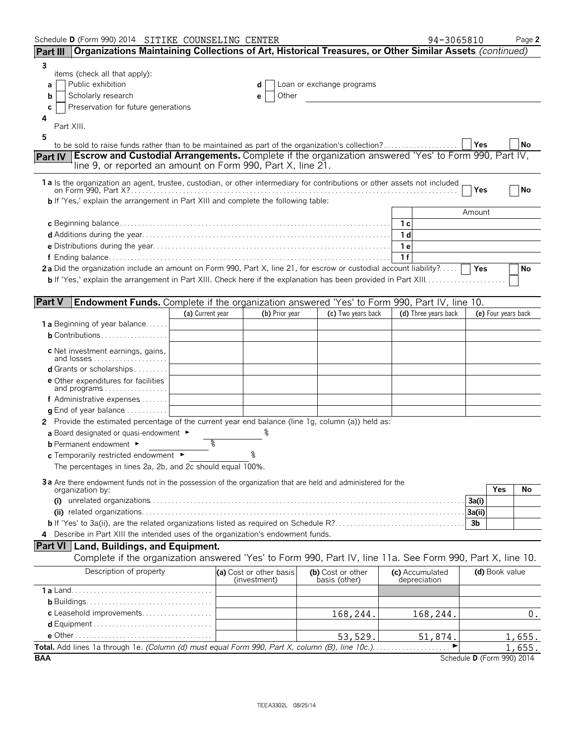| Schedule D (Form 990) 2014 SITIKE COUNSELING CENTER                                                                                                                                                                                                             |                  |                                         |                                    |    | 94-3065810                      |                | Page 2                     |
|-----------------------------------------------------------------------------------------------------------------------------------------------------------------------------------------------------------------------------------------------------------------|------------------|-----------------------------------------|------------------------------------|----|---------------------------------|----------------|----------------------------|
| Organizations Maintaining Collections of Art, Historical Treasures, or Other Similar Assets (continued)<br><b>Part III</b>                                                                                                                                      |                  |                                         |                                    |    |                                 |                |                            |
| 3<br>items (check all that apply):<br>Public exhibition<br>a<br>Scholarly research<br>b<br>Preservation for future generations<br>С<br>4<br>Part XIII.<br>5<br>to be sold to raise funds rather than to be maintained as part of the organization's collection? |                  | d<br>Other<br>е                         | Loan or exchange programs          |    |                                 | Yes            | No                         |
| Part IV   Escrow and Custodial Arrangements. Complete if the organization answered 'Yes' to Form 990, Part IV,<br>line 9, or reported an amount on Form 990, Part X, line 21.                                                                                   |                  |                                         |                                    |    |                                 |                |                            |
| 1 a Is the organization an agent, trustee, custodian, or other intermediary for contributions or other assets not included<br><b>b</b> If 'Yes,' explain the arrangement in Part XIII and complete the following table:                                         |                  |                                         |                                    |    |                                 | Yes            | No                         |
|                                                                                                                                                                                                                                                                 |                  |                                         |                                    |    |                                 | Amount         |                            |
|                                                                                                                                                                                                                                                                 |                  |                                         |                                    |    |                                 |                |                            |
|                                                                                                                                                                                                                                                                 |                  |                                         |                                    |    |                                 |                |                            |
|                                                                                                                                                                                                                                                                 |                  |                                         |                                    | 1e |                                 |                |                            |
|                                                                                                                                                                                                                                                                 |                  |                                         |                                    | 1f |                                 |                |                            |
| 2a Did the organization include an amount on Form 990, Part X, line 21, for escrow or custodial account liability?   Yes                                                                                                                                        |                  |                                         |                                    |    |                                 |                | No                         |
| <b>Part V</b><br><b>Endowment Funds.</b> Complete if the organization answered 'Yes' to Form 990, Part IV, line 10.                                                                                                                                             |                  |                                         |                                    |    |                                 |                |                            |
|                                                                                                                                                                                                                                                                 | (a) Current year | (b) Prior year                          | (c) Two years back                 |    | (d) Three years back            |                | (e) Four years back        |
| 1a Beginning of year balance                                                                                                                                                                                                                                    |                  |                                         |                                    |    |                                 |                |                            |
| $b$ Contributions                                                                                                                                                                                                                                               |                  |                                         |                                    |    |                                 |                |                            |
| c Net investment earnings, gains,<br>and losses                                                                                                                                                                                                                 |                  |                                         |                                    |    |                                 |                |                            |
| d Grants or scholarships                                                                                                                                                                                                                                        |                  |                                         |                                    |    |                                 |                |                            |
| <b>e</b> Other expenditures for facilities<br>and programs $\ldots \ldots \ldots \ldots \ldots$                                                                                                                                                                 |                  |                                         |                                    |    |                                 |                |                            |
| f Administrative expenses                                                                                                                                                                                                                                       |                  |                                         |                                    |    |                                 |                |                            |
| <b>g</b> End of year balance $\ldots$                                                                                                                                                                                                                           |                  |                                         |                                    |    |                                 |                |                            |
| 2 Provide the estimated percentage of the current year end balance (line 1g, column (a)) held as:                                                                                                                                                               |                  |                                         |                                    |    |                                 |                |                            |
| a Board designated or quasi-endowment $\blacktriangleright$                                                                                                                                                                                                     |                  |                                         |                                    |    |                                 |                |                            |
| <b>b</b> Permanent endowment $\blacktriangleright$                                                                                                                                                                                                              | g                |                                         |                                    |    |                                 |                |                            |
| c Temporarily restricted endowment ►                                                                                                                                                                                                                            |                  |                                         |                                    |    |                                 |                |                            |
| The percentages in lines 2a, 2b, and 2c should equal 100%.                                                                                                                                                                                                      |                  |                                         |                                    |    |                                 |                |                            |
| 3a Are there endowment funds not in the possession of the organization that are held and administered for the<br>organization by:                                                                                                                               |                  |                                         |                                    |    |                                 | Yes            | No                         |
|                                                                                                                                                                                                                                                                 |                  |                                         |                                    |    |                                 | 3a(i)          |                            |
|                                                                                                                                                                                                                                                                 |                  |                                         |                                    |    |                                 | 3a(ii)         |                            |
|                                                                                                                                                                                                                                                                 |                  |                                         |                                    |    |                                 | 3 <sub>b</sub> |                            |
| 4 Describe in Part XIII the intended uses of the organization's endowment funds.                                                                                                                                                                                |                  |                                         |                                    |    |                                 |                |                            |
| <b>Part VI</b> Land, Buildings, and Equipment.                                                                                                                                                                                                                  |                  |                                         |                                    |    |                                 |                |                            |
| Complete if the organization answered 'Yes' to Form 990, Part IV, line 11a. See Form 990, Part X, line 10.                                                                                                                                                      |                  |                                         |                                    |    |                                 |                |                            |
| Description of property                                                                                                                                                                                                                                         |                  | (a) Cost or other basis<br>(investment) | (b) Cost or other<br>basis (other) |    | (c) Accumulated<br>depreciation |                | (d) Book value             |
|                                                                                                                                                                                                                                                                 |                  |                                         |                                    |    |                                 |                |                            |
|                                                                                                                                                                                                                                                                 |                  |                                         |                                    |    |                                 |                |                            |
| c Leasehold improvements                                                                                                                                                                                                                                        |                  |                                         | 168,244.                           |    | 168,244.                        |                | 0.                         |
|                                                                                                                                                                                                                                                                 |                  |                                         |                                    |    |                                 |                |                            |
|                                                                                                                                                                                                                                                                 |                  |                                         | 53,529.                            |    | 51,874.                         |                | 1,655.                     |
| Total. Add lines 1a through 1e. (Column (d) must equal Form 990, Part X, column (B), line 10c.)                                                                                                                                                                 |                  |                                         |                                    |    |                                 |                | 1,655.                     |
| <b>BAA</b>                                                                                                                                                                                                                                                      |                  |                                         |                                    |    |                                 |                | Schedule D (Form 990) 2014 |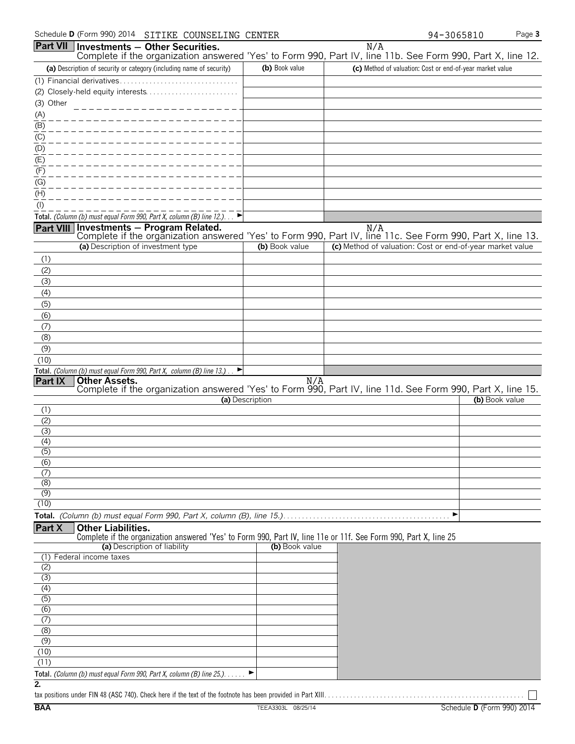|                           | Schedule D (Form 990) 2014<br>SITIKE COUNSELING CENTER                                                                                           |                 | Page 3<br>94-3065810                                                                                                        |
|---------------------------|--------------------------------------------------------------------------------------------------------------------------------------------------|-----------------|-----------------------------------------------------------------------------------------------------------------------------|
|                           | Part VII   Investments - Other Securities.                                                                                                       |                 | N/A<br>Complete if the organization answered 'Yes' to Form 990, Part IV, line 11b. See Form 990, Part X, line 12.           |
|                           | (a) Description of security or category (including name of security)                                                                             | (b) Book value  | (c) Method of valuation: Cost or end-of-year market value                                                                   |
|                           |                                                                                                                                                  |                 |                                                                                                                             |
|                           |                                                                                                                                                  |                 |                                                                                                                             |
| (3) Other                 |                                                                                                                                                  |                 |                                                                                                                             |
| (A)                       |                                                                                                                                                  |                 |                                                                                                                             |
| $\overline{(\mathsf{B})}$ |                                                                                                                                                  |                 |                                                                                                                             |
| $\frac{1}{1}$             |                                                                                                                                                  |                 |                                                                                                                             |
| (D)                       |                                                                                                                                                  |                 |                                                                                                                             |
| (E)                       |                                                                                                                                                  |                 |                                                                                                                             |
| (F)                       |                                                                                                                                                  |                 |                                                                                                                             |
| (G)                       |                                                                                                                                                  |                 |                                                                                                                             |
| (H)                       |                                                                                                                                                  |                 |                                                                                                                             |
| $($ l $)$                 |                                                                                                                                                  |                 |                                                                                                                             |
|                           | Total. (Column (b) must equal Form 990, Part X, column (B) line $12$ .)<br>Part VIII Investments - Program Related.                              |                 | N/A                                                                                                                         |
|                           |                                                                                                                                                  |                 | Complete if the organization answered 'Yes' to Form 990, Part IV, line 11c. See Form 990, Part X, line 13.                  |
|                           | (a) Description of investment type                                                                                                               | (b) Book value  | (c) Method of valuation: Cost or end-of-year market value                                                                   |
| (1)                       |                                                                                                                                                  |                 |                                                                                                                             |
| (2)                       |                                                                                                                                                  |                 |                                                                                                                             |
| (3)                       |                                                                                                                                                  |                 |                                                                                                                             |
| (4)                       |                                                                                                                                                  |                 |                                                                                                                             |
| (5)                       |                                                                                                                                                  |                 |                                                                                                                             |
| (6)                       |                                                                                                                                                  |                 |                                                                                                                             |
| (7)                       |                                                                                                                                                  |                 |                                                                                                                             |
| (8)                       |                                                                                                                                                  |                 |                                                                                                                             |
| (9)                       |                                                                                                                                                  |                 |                                                                                                                             |
| (10)                      |                                                                                                                                                  |                 |                                                                                                                             |
| Part IX                   | Total. (Column (b) must equal Form 990, Part X, column (B) line 13.). $\blacktriangleright$                                                      |                 |                                                                                                                             |
|                           |                                                                                                                                                  |                 | Other Assets.<br>Complete if the organization answered 'Yes' to Form 990, Part IV, line 11d. See Form 990, Part X, line 15. |
|                           |                                                                                                                                                  | (a) Description | (b) Book value                                                                                                              |
| (1)                       |                                                                                                                                                  |                 |                                                                                                                             |
| (2)                       |                                                                                                                                                  |                 |                                                                                                                             |
| (3)                       |                                                                                                                                                  |                 |                                                                                                                             |
| (4)<br>(5)                |                                                                                                                                                  |                 |                                                                                                                             |
| (6)                       |                                                                                                                                                  |                 |                                                                                                                             |
| (7)                       |                                                                                                                                                  |                 |                                                                                                                             |
| (8)                       |                                                                                                                                                  |                 |                                                                                                                             |
| (9)                       |                                                                                                                                                  |                 |                                                                                                                             |
| (10)                      |                                                                                                                                                  |                 |                                                                                                                             |
|                           |                                                                                                                                                  |                 | ▶                                                                                                                           |
| Part X                    | <b>Other Liabilities.</b>                                                                                                                        |                 |                                                                                                                             |
|                           | Complete if the organization answered 'Yes' to Form 990, Part IV, line 11e or 11f. See Form 990, Part X, line 25<br>(a) Description of liability | (b) Book value  |                                                                                                                             |
| (1)                       | Federal income taxes                                                                                                                             |                 |                                                                                                                             |
| (2)                       |                                                                                                                                                  |                 |                                                                                                                             |
| (3)                       |                                                                                                                                                  |                 |                                                                                                                             |
| (4)                       |                                                                                                                                                  |                 |                                                                                                                             |
| (5)                       |                                                                                                                                                  |                 |                                                                                                                             |
| (6)                       |                                                                                                                                                  |                 |                                                                                                                             |
| (7)<br>(8)                |                                                                                                                                                  |                 |                                                                                                                             |
| (9)                       |                                                                                                                                                  |                 |                                                                                                                             |
| (10)                      |                                                                                                                                                  |                 |                                                                                                                             |
| (11)                      |                                                                                                                                                  |                 |                                                                                                                             |
|                           | Total. (Column (b) must equal Form 990, Part X, column (B) line 25.).                                                                            |                 |                                                                                                                             |
| $\overline{2}$            |                                                                                                                                                  |                 |                                                                                                                             |

Г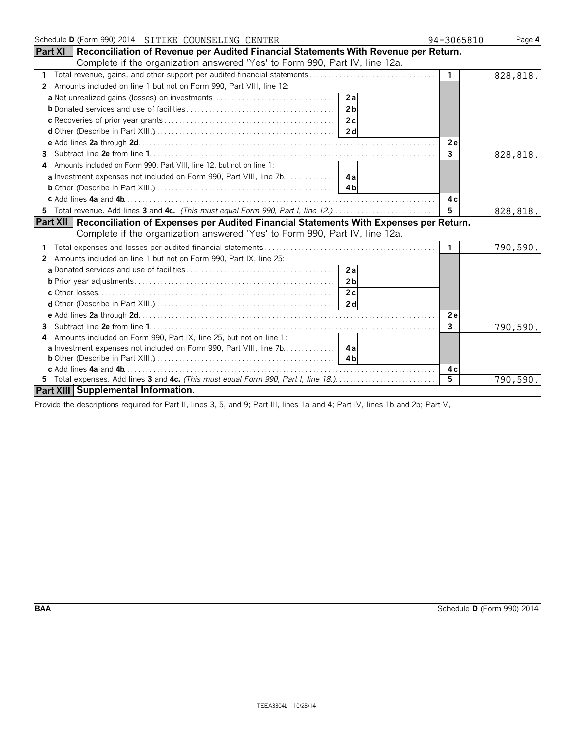| Schedule D (Form 990) 2014 SITIKE COUNSELING CENTER                                                   | 94-3065810     | Page 4   |
|-------------------------------------------------------------------------------------------------------|----------------|----------|
| <b>Part XI</b>   Reconciliation of Revenue per Audited Financial Statements With Revenue per Return.  |                |          |
| Complete if the organization answered 'Yes' to Form 990, Part IV, line 12a.                           |                |          |
| $\mathbf{1}$                                                                                          | $\overline{1}$ | 828,818. |
| Amounts included on line 1 but not on Form 990, Part VIII, line 12:<br>$\mathbf{2}^{\circ}$           |                |          |
|                                                                                                       |                |          |
| 2 <sub>b</sub>                                                                                        |                |          |
|                                                                                                       |                |          |
|                                                                                                       |                |          |
|                                                                                                       | 2e             |          |
| 3                                                                                                     | $\mathbf{3}$   | 828,818. |
| Amounts included on Form 990, Part VIII, line 12, but not on line 1:                                  |                |          |
| a Investment expenses not included on Form 990, Part VIII, line 7b. 4a                                |                |          |
|                                                                                                       |                |          |
|                                                                                                       | 4 c            |          |
| 5 Total revenue. Add lines 3 and 4c. (This must equal Form 990, Part I, line 12.)                     | 5              | 828,818. |
| <b>Part XII Reconciliation of Expenses per Audited Financial Statements With Expenses per Return.</b> |                |          |
| Complete if the organization answered 'Yes' to Form 990, Part IV, line 12a.                           |                |          |
|                                                                                                       | $\mathbf{1}$   | 790,590. |
| Amounts included on line 1 but not on Form 990, Part IX, line 25:<br>2                                |                |          |
|                                                                                                       |                |          |
| 2 <sub>b</sub>                                                                                        |                |          |
|                                                                                                       |                |          |
|                                                                                                       |                |          |
|                                                                                                       | 2e             |          |
| 3                                                                                                     | $\mathbf{3}$   | 790,590. |
| Amounts included on Form 990, Part IX, line 25, but not on line 1:<br>4                               |                |          |
|                                                                                                       |                |          |
|                                                                                                       |                |          |
|                                                                                                       | 4 c            |          |
|                                                                                                       | 5              | 790,590. |
| Part XIII Supplemental Information.                                                                   |                |          |

Provide the descriptions required for Part II, lines 3, 5, and 9; Part III, lines 1a and 4; Part IV, lines 1b and 2b; Part V,